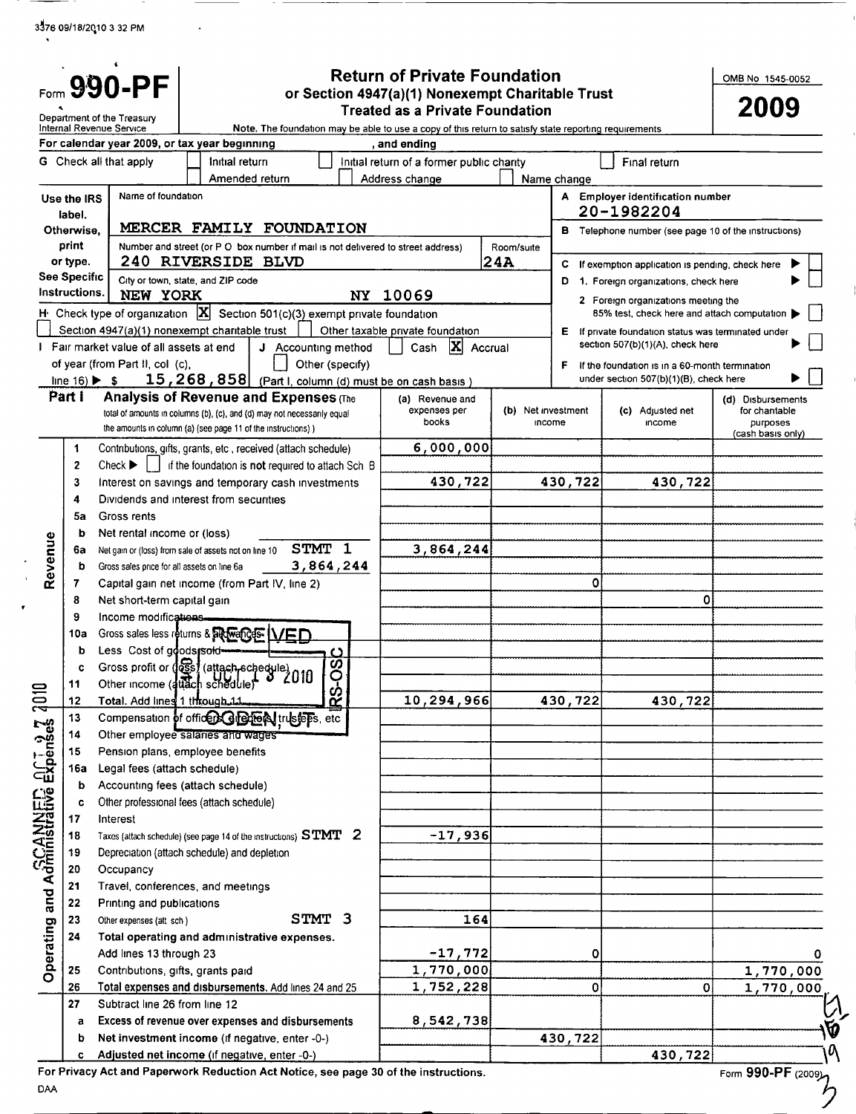3176 09118/20,10 <sup>3</sup> 32 PM

 $\mathbf{A}$ 

|                                                                                                                                                                 |                                      | 990-PF                                                |                                                                                                                                                                                         |                                                  | <b>Return of Private Foundation</b>       |                   |                              |                                                      | OMB No 1545-0052                               |                |
|-----------------------------------------------------------------------------------------------------------------------------------------------------------------|--------------------------------------|-------------------------------------------------------|-----------------------------------------------------------------------------------------------------------------------------------------------------------------------------------------|--------------------------------------------------|-------------------------------------------|-------------------|------------------------------|------------------------------------------------------|------------------------------------------------|----------------|
|                                                                                                                                                                 |                                      |                                                       |                                                                                                                                                                                         | or Section 4947(a)(1) Nonexempt Charitable Trust |                                           |                   |                              | 2009                                                 |                                                |                |
| Department of the Treasury<br>Internal Revenue Service<br>Note. The foundation may be able to use a copy of this return to satisfy state reporting requirements |                                      |                                                       | <b>Treated as a Private Foundation</b>                                                                                                                                                  |                                                  |                                           |                   |                              |                                                      |                                                |                |
|                                                                                                                                                                 |                                      |                                                       | For calendar year 2009, or tax year beginning                                                                                                                                           |                                                  | , and ending                              |                   |                              |                                                      |                                                |                |
|                                                                                                                                                                 |                                      | G Check all that apply                                | Initial return                                                                                                                                                                          |                                                  | Initial return of a former public charity |                   |                              | Final return                                         |                                                |                |
|                                                                                                                                                                 |                                      |                                                       | Amended return                                                                                                                                                                          |                                                  | Address change                            |                   | Name change                  |                                                      |                                                |                |
|                                                                                                                                                                 | Use the IRS                          | Name of foundation                                    |                                                                                                                                                                                         |                                                  |                                           |                   |                              | A Employer identification number                     |                                                |                |
|                                                                                                                                                                 | label.                               |                                                       | MERCER FAMILY FOUNDATION                                                                                                                                                                |                                                  |                                           |                   |                              | 20-1982204                                           |                                                |                |
|                                                                                                                                                                 | Otherwise,<br>print                  |                                                       | Number and street (or P O box number if mail is not delivered to street address)                                                                                                        |                                                  |                                           |                   |                              | B Telephone number (see page 10 of the instructions) |                                                |                |
|                                                                                                                                                                 | or type.                             |                                                       | 240 RIVERSIDE BLVD                                                                                                                                                                      |                                                  |                                           | Room/suite<br>24A | С                            | If exemption application is pending, check here      |                                                |                |
|                                                                                                                                                                 | <b>See Specific</b>                  |                                                       | City or town, state, and ZIP code                                                                                                                                                       |                                                  |                                           |                   | D                            | 1. Foreign organizations, check here                 |                                                |                |
|                                                                                                                                                                 | Instructions.                        | NEW YORK                                              |                                                                                                                                                                                         |                                                  | NY 10069                                  |                   |                              | 2 Foreign organizations meeting the                  |                                                |                |
|                                                                                                                                                                 |                                      |                                                       | H: Check type of organization $\boxed{\mathbf{X}}$ Section 501(c)(3) exempt private foundation                                                                                          |                                                  |                                           |                   |                              | 85% test, check here and attach computation          |                                                |                |
|                                                                                                                                                                 |                                      |                                                       | Section 4947(a)(1) nonexempt charitable trust                                                                                                                                           |                                                  | Other taxable private foundation          |                   |                              | E If private foundation status was terminated under  |                                                |                |
| $\mathbf{I}$                                                                                                                                                    |                                      | Fair market value of all assets at end                | J Accounting method                                                                                                                                                                     |                                                  | $ \mathbf{x} $<br>Cash                    | Accrual           |                              | section 507(b)(1)(A), check here                     |                                                |                |
|                                                                                                                                                                 |                                      | of year (from Part II, col (c),                       |                                                                                                                                                                                         | Other (specify)                                  |                                           |                   | F.                           | If the foundation is in a 60-month termination       |                                                |                |
|                                                                                                                                                                 | line $16$ ) $\blacktriangleright$ \$ |                                                       | 15, 268, 858 (Part I, column (d) must be on cash basis                                                                                                                                  |                                                  |                                           |                   |                              | under section 507(b)(1)(B), check here               |                                                |                |
|                                                                                                                                                                 | Part I                               |                                                       | <b>Analysis of Revenue and Expenses (The</b><br>total of amounts in columns (b), (c), and (d) may not necessarily equal<br>the amounts in column (a) (see page 11 of the instructions)) |                                                  | (a) Revenue and<br>expenses per<br>books  |                   | (b) Net investment<br>income | (c) Adjusted net<br>income                           | (d) Disbursements<br>for chantable<br>purposes |                |
|                                                                                                                                                                 | 1                                    |                                                       | Contributions, gifts, grants, etc, received (attach schedule)                                                                                                                           |                                                  | 6,000,000                                 |                   |                              |                                                      | (cash basıs only)                              |                |
|                                                                                                                                                                 | 2                                    | Check $\blacktriangleright$                           | if the foundation is not required to attach Sch B                                                                                                                                       |                                                  |                                           |                   |                              |                                                      |                                                |                |
|                                                                                                                                                                 | 3                                    |                                                       | Interest on savings and temporary cash investments                                                                                                                                      |                                                  | 430,722                                   |                   | 430,722                      | 430,722                                              |                                                |                |
|                                                                                                                                                                 | 4                                    |                                                       | Dividends and interest from securities                                                                                                                                                  |                                                  |                                           |                   |                              |                                                      |                                                |                |
|                                                                                                                                                                 | 5a                                   | Gross rents                                           |                                                                                                                                                                                         |                                                  |                                           |                   |                              |                                                      |                                                |                |
|                                                                                                                                                                 | b                                    | Net rental income or (loss)                           |                                                                                                                                                                                         |                                                  |                                           |                   |                              |                                                      |                                                |                |
|                                                                                                                                                                 | 6a                                   |                                                       | STMT 1<br>Net gain or (loss) from sale of assets not on line 10                                                                                                                         |                                                  | 3,864,244                                 |                   |                              |                                                      |                                                |                |
| Revenue                                                                                                                                                         | b                                    | Gross sales price for all assets on line 6a           |                                                                                                                                                                                         | 3,864,244                                        |                                           |                   |                              |                                                      |                                                |                |
|                                                                                                                                                                 | 7                                    |                                                       | Capital gain net income (from Part IV, line 2)                                                                                                                                          |                                                  |                                           |                   | 0                            |                                                      |                                                |                |
|                                                                                                                                                                 | 8                                    | Net short-term capital gain                           |                                                                                                                                                                                         |                                                  |                                           |                   |                              | 0                                                    |                                                |                |
|                                                                                                                                                                 | 9                                    | Income modifications.                                 |                                                                                                                                                                                         |                                                  |                                           |                   |                              |                                                      |                                                |                |
|                                                                                                                                                                 | 10a                                  |                                                       | Gross sales less returns & added Gos LVED                                                                                                                                               |                                                  |                                           |                   |                              |                                                      |                                                |                |
|                                                                                                                                                                 | b<br>C                               | Less Cost of goodspold-                               |                                                                                                                                                                                         | <u>ဖ</u>                                         |                                           |                   |                              |                                                      |                                                |                |
|                                                                                                                                                                 | 11                                   |                                                       | Gross profit or des / (attach-schedule)<br>Other income (attach schedule)<br>2010                                                                                                       |                                                  |                                           |                   |                              |                                                      |                                                |                |
|                                                                                                                                                                 | 12                                   | Total. Add lines 1 through 11                         |                                                                                                                                                                                         | RS-C                                             | 10,294,966                                |                   | 430,722                      | 430,722                                              |                                                |                |
|                                                                                                                                                                 | 13                                   |                                                       | Compensation of officers distributions, etc                                                                                                                                             |                                                  |                                           |                   |                              |                                                      |                                                |                |
|                                                                                                                                                                 | 14                                   |                                                       | Other employee salaries and wages                                                                                                                                                       |                                                  |                                           |                   |                              |                                                      |                                                |                |
|                                                                                                                                                                 | 15                                   |                                                       | Pension plans, employee benefits                                                                                                                                                        |                                                  |                                           |                   |                              |                                                      |                                                |                |
| Operating and Administrative Expenses 1010                                                                                                                      | 16a                                  | Legal fees (attach schedule)                          |                                                                                                                                                                                         |                                                  |                                           |                   |                              |                                                      |                                                |                |
|                                                                                                                                                                 | b                                    |                                                       | Accounting fees (attach schedule)                                                                                                                                                       |                                                  |                                           |                   |                              |                                                      |                                                |                |
|                                                                                                                                                                 | c                                    |                                                       | Other professional fees (attach schedule)                                                                                                                                               |                                                  |                                           |                   |                              |                                                      |                                                |                |
|                                                                                                                                                                 | 17                                   | Interest                                              |                                                                                                                                                                                         |                                                  |                                           |                   |                              |                                                      |                                                |                |
|                                                                                                                                                                 | 18                                   |                                                       | Taxes (attach schedule) (see page 14 of the instructions) $STMT$ $2$                                                                                                                    |                                                  | $-17,936$                                 |                   |                              |                                                      |                                                |                |
|                                                                                                                                                                 | 19                                   |                                                       | Depreciation (attach schedule) and depletion                                                                                                                                            |                                                  |                                           |                   |                              |                                                      |                                                |                |
|                                                                                                                                                                 | 20                                   | Occupancy                                             |                                                                                                                                                                                         |                                                  |                                           |                   |                              |                                                      |                                                |                |
|                                                                                                                                                                 | 21                                   |                                                       | Travel, conferences, and meetings                                                                                                                                                       |                                                  |                                           |                   |                              |                                                      |                                                |                |
|                                                                                                                                                                 | 22<br>23                             | Printing and publications<br>Other expenses (att sch) | STMT 3                                                                                                                                                                                  |                                                  | 164                                       |                   |                              |                                                      |                                                |                |
|                                                                                                                                                                 | 24                                   |                                                       | Total operating and administrative expenses.                                                                                                                                            |                                                  |                                           |                   |                              |                                                      |                                                |                |
|                                                                                                                                                                 |                                      | Add lines 13 through 23                               |                                                                                                                                                                                         |                                                  | $-17,772$                                 |                   | 0                            |                                                      |                                                |                |
|                                                                                                                                                                 | 25                                   | Contributions, gifts, grants paid                     |                                                                                                                                                                                         |                                                  | 1,770,000                                 |                   |                              |                                                      | 1,770,000                                      |                |
|                                                                                                                                                                 | 26                                   |                                                       | Total expenses and disbursements. Add lines 24 and 25                                                                                                                                   |                                                  | 1,752,228                                 |                   | 0                            | 0                                                    | 1,770,000                                      |                |
|                                                                                                                                                                 | 27                                   | Subtract line 26 from line 12                         |                                                                                                                                                                                         |                                                  |                                           |                   |                              |                                                      |                                                |                |
|                                                                                                                                                                 | a                                    |                                                       | Excess of revenue over expenses and disbursements                                                                                                                                       |                                                  | 8,542,738                                 |                   |                              |                                                      |                                                |                |
|                                                                                                                                                                 | b                                    |                                                       | Net investment income (if negative, enter -0-)                                                                                                                                          |                                                  |                                           |                   | 430,722                      |                                                      |                                                | р              |
|                                                                                                                                                                 | c                                    |                                                       | Adjusted net income (if negative, enter -0-)                                                                                                                                            |                                                  |                                           |                   |                              | 430,722                                              |                                                | ۱ <sup>a</sup> |
|                                                                                                                                                                 |                                      |                                                       |                                                                                                                                                                                         |                                                  |                                           |                   |                              |                                                      |                                                |                |

 $\mathcal{D}$ <sup>DAA</sup>

For Privacy Act and Paperwork Reduction Act Notice, see page 30 of the instructions.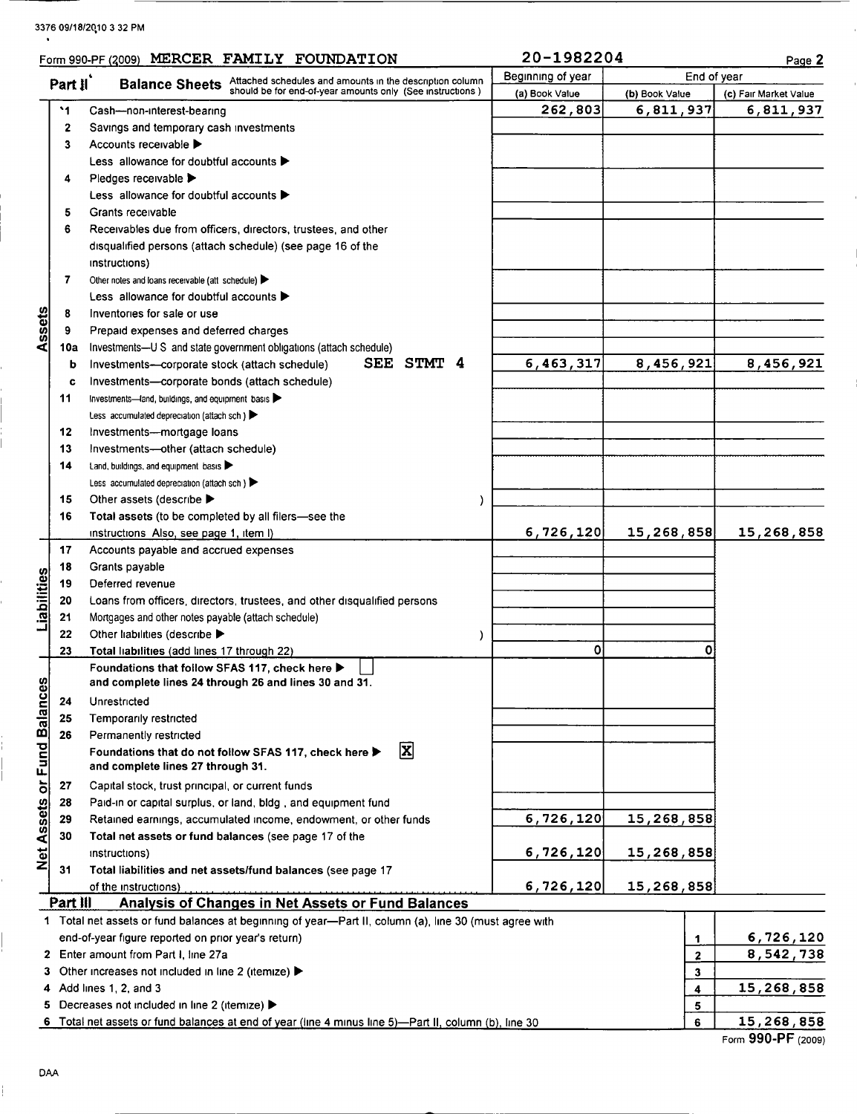### 3376 09/18120,10 <sup>3</sup> 32 PM

|                                                                                           |           | Form 990-PF (2009) MERCER FAMILY FOUNDATION                                                            | 20-1982204        |                  | Page 2                |
|-------------------------------------------------------------------------------------------|-----------|--------------------------------------------------------------------------------------------------------|-------------------|------------------|-----------------------|
| Part il<br><b>Balance Sheets</b> Attached schedules and amounts in the description column |           |                                                                                                        | Beginning of year | End of year      |                       |
|                                                                                           |           | should be for end-of-year amounts only (See instructions)                                              | (a) Book Value    | (b) Book Value   | (c) Fair Market Value |
|                                                                                           | $\cdot$ 1 | Cash-non-interest-bearing                                                                              | 262,803           | 6,811,937        | 6,811,937             |
|                                                                                           | 2         | Savings and temporary cash investments                                                                 |                   |                  |                       |
|                                                                                           | 3         | Accounts receivable ▶                                                                                  |                   |                  |                       |
|                                                                                           |           | Less allowance for doubtful accounts $\blacktriangleright$                                             |                   |                  |                       |
|                                                                                           | 4         | Pledges receivable                                                                                     |                   |                  |                       |
|                                                                                           |           | Less allowance for doubtful accounts $\blacktriangleright$                                             |                   |                  |                       |
|                                                                                           | 5         | Grants receivable                                                                                      |                   |                  |                       |
|                                                                                           | 6         | Receivables due from officers, directors, trustees, and other                                          |                   |                  |                       |
|                                                                                           |           | disqualified persons (attach schedule) (see page 16 of the                                             |                   |                  |                       |
|                                                                                           |           | instructions)                                                                                          |                   |                  |                       |
|                                                                                           | 7         | Other notes and loans receivable (att schedule)                                                        |                   |                  |                       |
|                                                                                           |           | Less allowance for doubtful accounts $\blacktriangleright$                                             |                   |                  |                       |
|                                                                                           |           | Inventories for sale or use                                                                            |                   |                  |                       |
| ssets                                                                                     | 8         |                                                                                                        |                   |                  |                       |
|                                                                                           | 9         | Prepaid expenses and deferred charges                                                                  |                   |                  |                       |
|                                                                                           | 10a       | Investments-U S and state government obligations (attach schedule)                                     |                   |                  |                       |
|                                                                                           | b         | SEE STMT 4<br>Investments-corporate stock (attach schedule)                                            | 6,463,317         | 8,456,921        | 8,456,921             |
|                                                                                           | c         | Investments-corporate bonds (attach schedule)                                                          |                   |                  |                       |
|                                                                                           | 11        | Investments-land, buildings, and equipment basis                                                       |                   |                  |                       |
|                                                                                           |           | Less accumulated depreciation (attach sch)                                                             |                   |                  |                       |
|                                                                                           | 12        | Investments-mortgage loans                                                                             |                   |                  |                       |
|                                                                                           | 13        | Investments-other (attach schedule)                                                                    |                   |                  |                       |
|                                                                                           | 14        | Land, buildings, and equipment basis                                                                   |                   |                  |                       |
|                                                                                           |           | Less accumulated depreciation (attach sch)                                                             |                   |                  |                       |
|                                                                                           | 15        | Other assets (describe $\blacktriangleright$                                                           |                   |                  |                       |
|                                                                                           | 16        | Total assets (to be completed by all filers-see the                                                    |                   |                  |                       |
|                                                                                           |           | instructions Also, see page 1, item I)                                                                 | 6,726,120         | 15,268,858       | 15,268,858            |
|                                                                                           | 17        | Accounts payable and accrued expenses                                                                  |                   |                  |                       |
|                                                                                           | 18        | Grants payable                                                                                         |                   |                  |                       |
| Liabilities                                                                               | 19        | Deferred revenue                                                                                       |                   |                  |                       |
|                                                                                           | 20        | Loans from officers, directors, trustees, and other disqualified persons                               |                   |                  |                       |
|                                                                                           | 21        | Mortgages and other notes payable (attach schedule)                                                    |                   |                  |                       |
|                                                                                           | 22        | Other liabilities (describe ▶                                                                          |                   |                  |                       |
|                                                                                           | 23        | Total liabilities (add lines 17 through 22)                                                            | $\mathbf 0$       | 0                |                       |
|                                                                                           |           | Foundations that follow SFAS 117, check here ▶                                                         |                   |                  |                       |
|                                                                                           |           | and complete lines 24 through 26 and lines 30 and 31.                                                  |                   |                  |                       |
|                                                                                           | 24        | Unrestricted                                                                                           |                   |                  |                       |
| Net Assets or Fund Balances                                                               | 25        | Temporarily restricted                                                                                 |                   |                  |                       |
|                                                                                           | 26        | Permanently restricted                                                                                 |                   |                  |                       |
|                                                                                           |           | $ \mathbf{x} $<br>Foundations that do not follow SFAS 117, check here ▶                                |                   |                  |                       |
|                                                                                           |           | and complete lines 27 through 31.                                                                      |                   |                  |                       |
|                                                                                           | 27        | Capital stock, trust principal, or current funds                                                       |                   |                  |                       |
|                                                                                           | 28        | Paid-in or capital surplus, or land, bldg, and equipment fund                                          |                   |                  |                       |
|                                                                                           | 29        | Retained earnings, accumulated income, endowment, or other funds                                       | 6,726,120         | 15,268,858       |                       |
|                                                                                           | 30        | Total net assets or fund balances (see page 17 of the                                                  |                   |                  |                       |
|                                                                                           |           | instructions)                                                                                          | 6,726,120         | 15,268,858       |                       |
|                                                                                           | 31        | Total liabilities and net assets/fund balances (see page 17                                            |                   |                  |                       |
|                                                                                           |           | of the instructions)                                                                                   | 6,726,120         | 15,268,858       |                       |
|                                                                                           | Part III  | <b>Analysis of Changes in Net Assets or Fund Balances</b>                                              |                   |                  |                       |
|                                                                                           |           | 1 Total net assets or fund balances at beginning of year-Part II, column (a), line 30 (must agree with |                   |                  |                       |
|                                                                                           |           | end-of-year figure reported on prior year's return)                                                    |                   | 1                | 6,726,120             |
|                                                                                           |           | 2 Enter amount from Part I, line 27a                                                                   |                   | $\boldsymbol{2}$ | 8,542,738             |
|                                                                                           |           | 3 Other increases not included in line 2 (itemize) >                                                   |                   | 3                |                       |
|                                                                                           |           | 4 Add lines 1, 2, and 3                                                                                |                   |                  | 15,268,858            |
|                                                                                           |           | 5 Decreases not included in line 2 (itemize) >                                                         |                   | 4                |                       |
|                                                                                           |           | 6 Total net assets or fund balances at end of year (line 4 minus line 5)—Part II, column (b), line 30  |                   | 5<br>6           | 15,268,858            |
|                                                                                           |           |                                                                                                        |                   |                  |                       |

ĺ.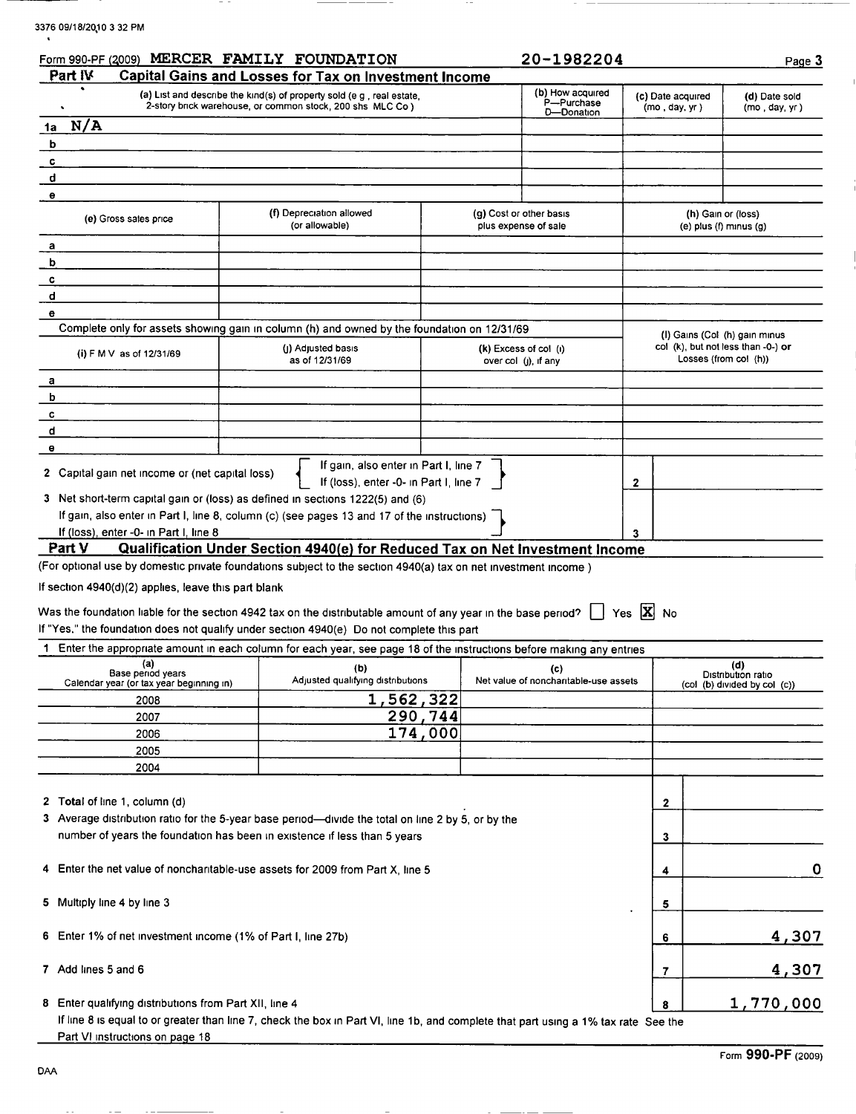|  |  | 3376 09/18/2010 3 32 PM |  |  |  |  |
|--|--|-------------------------|--|--|--|--|
|--|--|-------------------------|--|--|--|--|

in the

| Part IV                                                       | Form 990-PF (2009) MERCER FAMILY FOUNDATION<br>Capital Gains and Losses for Tax on Investment Income                                                                                                                                            |         | 20-1982204                                      |                                    | Page 3                                                      |
|---------------------------------------------------------------|-------------------------------------------------------------------------------------------------------------------------------------------------------------------------------------------------------------------------------------------------|---------|-------------------------------------------------|------------------------------------|-------------------------------------------------------------|
|                                                               |                                                                                                                                                                                                                                                 |         | (b) How acquired                                |                                    |                                                             |
| ٠                                                             | (a) List and describe the kind(s) of property sold (e.g., real estate,<br>2-story brick warehouse, or common stock, 200 shs MLC Co )                                                                                                            |         | P-Purchase<br>D-Donation                        | (c) Date acquired<br>(mo, day, yr) | (d) Date sold<br>(mo, day, yr)                              |
| N/A<br>1a                                                     |                                                                                                                                                                                                                                                 |         |                                                 |                                    |                                                             |
| b                                                             |                                                                                                                                                                                                                                                 |         |                                                 |                                    |                                                             |
| c                                                             |                                                                                                                                                                                                                                                 |         |                                                 |                                    |                                                             |
| d                                                             |                                                                                                                                                                                                                                                 |         |                                                 |                                    |                                                             |
| $\pmb{\Theta}$                                                |                                                                                                                                                                                                                                                 |         |                                                 |                                    |                                                             |
| (e) Gross sales price                                         | (f) Depreciation allowed<br>(or allowable)                                                                                                                                                                                                      |         | (g) Cost or other basis<br>plus expense of sale |                                    | (h) Gain or (loss)<br>(e) plus (f) minus (g)                |
| а                                                             |                                                                                                                                                                                                                                                 |         |                                                 |                                    |                                                             |
| b                                                             |                                                                                                                                                                                                                                                 |         |                                                 |                                    |                                                             |
| c                                                             |                                                                                                                                                                                                                                                 |         |                                                 |                                    |                                                             |
| d                                                             |                                                                                                                                                                                                                                                 |         |                                                 |                                    |                                                             |
| е                                                             |                                                                                                                                                                                                                                                 |         |                                                 |                                    |                                                             |
|                                                               | Complete only for assets showing gain in column (h) and owned by the foundation on 12/31/69                                                                                                                                                     |         |                                                 |                                    | (I) Gains (Col (h) gain minus                               |
| (i) F M V as of 12/31/69                                      | (J) Adjusted basis<br>as of 12/31/69                                                                                                                                                                                                            |         | (k) Excess of col (i)<br>over col (j), if any   |                                    | col (k), but not less than -0-) or<br>Losses (from col (h)) |
| а                                                             |                                                                                                                                                                                                                                                 |         |                                                 |                                    |                                                             |
| b                                                             |                                                                                                                                                                                                                                                 |         |                                                 |                                    |                                                             |
| c                                                             |                                                                                                                                                                                                                                                 |         |                                                 |                                    |                                                             |
| d                                                             |                                                                                                                                                                                                                                                 |         |                                                 |                                    |                                                             |
| $\bullet$                                                     |                                                                                                                                                                                                                                                 |         |                                                 |                                    |                                                             |
| 2 Capital gain net income or (net capital loss)               | If gain, also enter in Part I, line 7<br>If (loss), enter -0- in Part I, line 7                                                                                                                                                                 |         |                                                 | 2                                  |                                                             |
|                                                               | 3 Net short-term capital gain or (loss) as defined in sections 1222(5) and (6)                                                                                                                                                                  |         |                                                 |                                    |                                                             |
|                                                               | If gain, also enter in Part I, line 8, column (c) (see pages 13 and 17 of the instructions)                                                                                                                                                     |         |                                                 |                                    |                                                             |
| If (loss), enter -0- in Part I, line 8                        |                                                                                                                                                                                                                                                 |         |                                                 |                                    |                                                             |
| Part V                                                        | Qualification Under Section 4940(e) for Reduced Tax on Net Investment Income                                                                                                                                                                    |         |                                                 |                                    |                                                             |
|                                                               | (For optional use by domestic private foundations subject to the section 4940(a) tax on net investment income)                                                                                                                                  |         |                                                 |                                    |                                                             |
| If section 4940(d)(2) applies, leave this part blank          |                                                                                                                                                                                                                                                 |         |                                                 |                                    |                                                             |
|                                                               |                                                                                                                                                                                                                                                 |         |                                                 |                                    |                                                             |
|                                                               | Was the foundation liable for the section 4942 tax on the distributable amount of any year in the base period? $\ \cdot\ $ Yes $\ \mathbf{X}\ $ No<br>If "Yes," the foundation does not qualify under section 4940(e) Do not complete this part |         |                                                 |                                    |                                                             |
| -1                                                            | Enter the appropriate amount in each column for each year, see page 18 of the instructions before making any entries                                                                                                                            |         |                                                 |                                    |                                                             |
| (a)                                                           | (b)                                                                                                                                                                                                                                             |         | (c)                                             |                                    | (d)                                                         |
| Base period years<br>Calendar year (or tax year beginning in) | Adjusted qualifying distributions                                                                                                                                                                                                               |         | Net value of noncharitable-use assets           |                                    | Distribution ratio<br>(col (b) divided by col (c))          |
| 2008                                                          | 1,562,322                                                                                                                                                                                                                                       |         |                                                 |                                    |                                                             |
| 2007                                                          |                                                                                                                                                                                                                                                 | 290,744 |                                                 |                                    |                                                             |
| 2006                                                          |                                                                                                                                                                                                                                                 | 174,000 |                                                 |                                    |                                                             |
| 2005                                                          |                                                                                                                                                                                                                                                 |         |                                                 |                                    |                                                             |
| 2004                                                          |                                                                                                                                                                                                                                                 |         |                                                 |                                    |                                                             |
|                                                               |                                                                                                                                                                                                                                                 |         |                                                 |                                    |                                                             |
| 2 Total of line 1, column (d)                                 |                                                                                                                                                                                                                                                 |         |                                                 | 2                                  |                                                             |
|                                                               | 3 Average distribution ratio for the 5-year base period—divide the total on line 2 by 5, or by the                                                                                                                                              |         |                                                 |                                    |                                                             |
|                                                               | number of years the foundation has been in existence if less than 5 years                                                                                                                                                                       |         |                                                 | 3                                  |                                                             |
|                                                               |                                                                                                                                                                                                                                                 |         |                                                 |                                    |                                                             |
|                                                               | 4 Enter the net value of noncharitable-use assets for 2009 from Part X, line 5                                                                                                                                                                  |         |                                                 | 4                                  | $\mathbf 0$                                                 |
|                                                               |                                                                                                                                                                                                                                                 |         |                                                 |                                    |                                                             |
| 5 Multiply line 4 by line 3                                   |                                                                                                                                                                                                                                                 |         |                                                 | 5                                  |                                                             |
|                                                               |                                                                                                                                                                                                                                                 |         |                                                 |                                    |                                                             |
| 6 Enter 1% of net investment income (1% of Part I, line 27b)  |                                                                                                                                                                                                                                                 |         |                                                 | 6                                  | 4,307                                                       |
|                                                               |                                                                                                                                                                                                                                                 |         |                                                 |                                    |                                                             |
| 7 Add lines 5 and 6                                           |                                                                                                                                                                                                                                                 |         |                                                 | 7                                  | 4,307                                                       |
|                                                               |                                                                                                                                                                                                                                                 |         |                                                 |                                    |                                                             |
| 8 Enter qualifying distributions from Part XII, line 4        |                                                                                                                                                                                                                                                 |         |                                                 | 8                                  | 1,770,000                                                   |
|                                                               | If line 8 is equal to or greater than line 7, check the box in Part VI, line 1b, and complete that part using a 1% tax rate See the                                                                                                             |         |                                                 |                                    |                                                             |
| Part VI instructions on page 18                               |                                                                                                                                                                                                                                                 |         |                                                 |                                    |                                                             |

 $\overline{a}$ 

 $-$ 

 $\sim$   $-$ 

 $\sim$  $\sim$ 

 $\sim 100$ 

 $\sim$   $-$ 

 $\sim$   $\sim$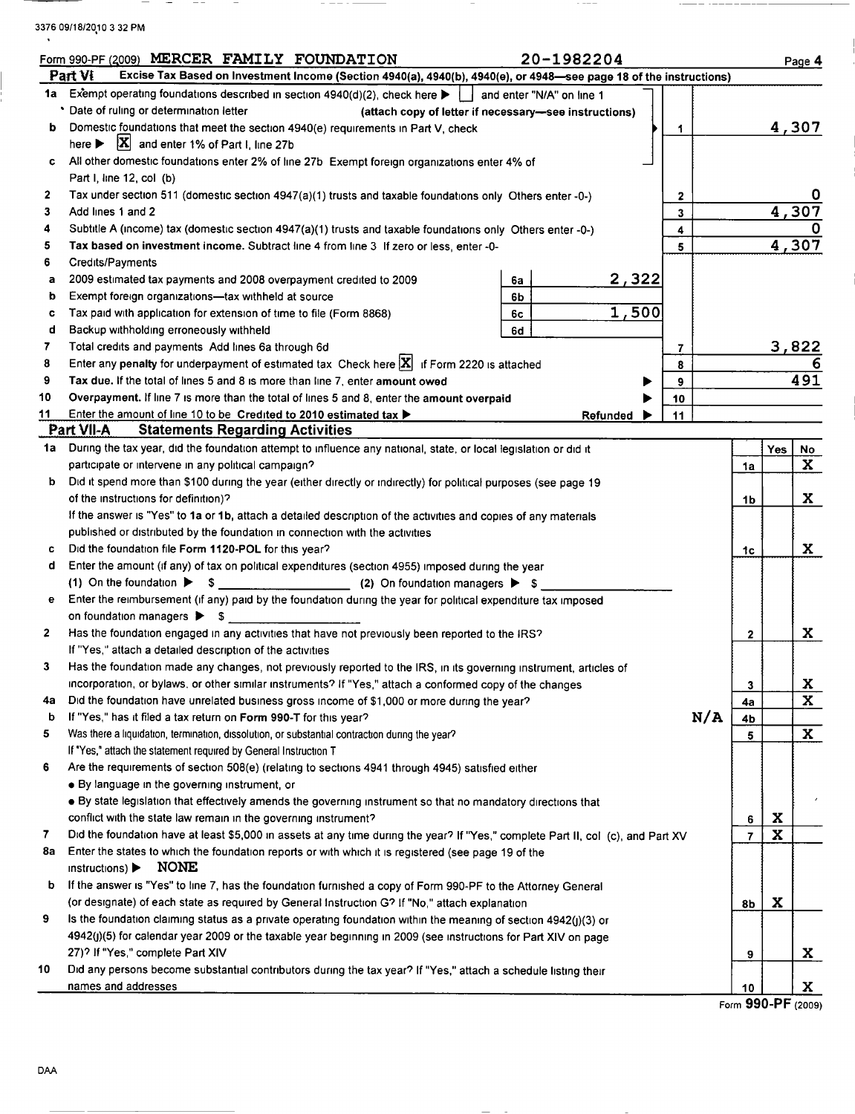3376 09/18/2010 3 32 PM  $\ddot{\phantom{a}}$ 

 $\sim$  $\sim$   $- - -$ 

 $\sim$   $-$ 

 $\sim$   $\sim$   $-$ 

 $\overline{\phantom{0}}$ 

 $\sim$   $-$ 

 $\sim$   $-$ 

 $\overline{\phantom{a}}$ 

|              | 20-1982204<br>Form 990-PF (2009) MERCER FAMILY FOUNDATION                                                                                                |                |             | Page 4        |
|--------------|----------------------------------------------------------------------------------------------------------------------------------------------------------|----------------|-------------|---------------|
|              | Excise Tax Based on Investment Income (Section 4940(a), 4940(b), 4940(e), or 4948-see page 18 of the instructions)<br>Part VI                            |                |             |               |
| 1a           | Exempt operating foundations described in section 4940(d)(2), check here $\blacktriangleright$   and enter "N/A" on line 1                               |                |             |               |
|              | Date of ruling or determination letter<br>(attach copy of letter if necessary-see instructions)                                                          |                |             |               |
| b            | Domestic foundations that meet the section 4940(e) requirements in Part V, check<br>1.                                                                   |                |             | 4,307         |
|              | here $\triangleright$ $\mathbf{X}$ and enter 1% of Part I, line 27b                                                                                      |                |             |               |
| c            | All other domestic foundations enter 2% of line 27b Exempt foreign organizations enter 4% of                                                             |                |             |               |
|              | Part I, line 12, col (b)                                                                                                                                 |                |             |               |
| $\mathbf{2}$ | Tax under section 511 (domestic section 4947(a)(1) trusts and taxable foundations only Others enter -0-)<br>$\mathbf{2}$                                 |                |             |               |
| 3            | Add lines 1 and 2<br>3                                                                                                                                   |                |             | 4,307         |
| 4            | Subtitle A (income) tax (domestic section 4947(a)(1) trusts and taxable foundations only Others enter -0-)<br>4                                          |                |             |               |
| 5            | Tax based on investment income. Subtract line 4 from line 3 If zero or less, enter -0-<br>5                                                              |                |             | 4,307         |
| 6            | Credits/Payments                                                                                                                                         |                |             |               |
| а            | <u>2,322</u><br>2009 estimated tax payments and 2008 overpayment credited to 2009<br>6a                                                                  |                |             |               |
| b            | Exempt foreign organizations-tax withheld at source<br>6b                                                                                                |                |             |               |
| c            | 1,500<br>Tax paid with application for extension of time to file (Form 8868)<br>6с                                                                       |                |             |               |
| d            | Backup withholding erroneously withheld<br>6d                                                                                                            |                |             |               |
| 7            | Total credits and payments Add lines 6a through 6d<br>7                                                                                                  |                |             | <u>3,822</u>  |
| 8            | Enter any penalty for underpayment of estimated tax Check here $ X $ if Form 2220 is attached<br>8                                                       |                |             |               |
| 9            | Tax due. If the total of lines 5 and 8 is more than line 7, enter amount owed<br>9                                                                       |                |             | 491           |
| 10           | Overpayment. If line 7 is more than the total of lines 5 and 8, enter the amount overpaid<br>10                                                          |                |             |               |
| 11           | Enter the amount of line 10 to be Credited to 2010 estimated tax $\blacktriangleright$<br>11<br>Refunded                                                 |                |             |               |
|              | <b>Statements Regarding Activities</b><br>Part VII-A                                                                                                     |                |             |               |
| 1a           | During the tax year, did the foundation attempt to influence any national, state, or local legislation or did it                                         |                | Yes         | <u>No</u>     |
|              | participate or intervene in any political campaign?                                                                                                      | 1a             |             | $\mathbf{x}$  |
| b            | Did it spend more than \$100 during the year (either directly or indirectly) for political purposes (see page 19<br>of the instructions for definition)? |                |             |               |
|              |                                                                                                                                                          | 1b             |             | X.            |
|              | If the answer is "Yes" to 1a or 1b, attach a detailed description of the activities and copies of any materials                                          |                |             |               |
|              | published or distributed by the foundation in connection with the activities<br>Did the foundation file Form 1120-POL for this year?                     |                |             | X.            |
| c<br>d       | Enter the amount (if any) of tax on political expenditures (section 4955) imposed during the year                                                        | 1c             |             |               |
|              | (1) On the foundation $\triangleright$ \$ (2) On foundation managers $\triangleright$ \$                                                                 |                |             |               |
| е            | Enter the reimbursement (if any) paid by the foundation during the year for political expenditure tax imposed                                            |                |             |               |
|              | on foundation managers > \$                                                                                                                              |                |             |               |
| $\mathbf{z}$ | Has the foundation engaged in any activities that have not previously been reported to the IRS?                                                          | 2              |             | X             |
|              | If "Yes," attach a detailed description of the activities                                                                                                |                |             |               |
| 3            | Has the foundation made any changes, not previously reported to the IRS, in its governing instrument, articles of                                        |                |             |               |
|              | incorporation, or bylaws, or other similar instruments? If "Yes," attach a conformed copy of the changes                                                 | 3              |             |               |
| 4a           | Did the foundation have unrelated business gross income of \$1,000 or more during the year?                                                              | 4a             |             | $\frac{X}{X}$ |
| b            | N/A<br>If "Yes," has it filed a tax return on Form 990-T for this year?                                                                                  | 4b             |             |               |
| 5            | Was there a liquidation, termination, dissolution, or substantial contraction during the year?                                                           | 5              |             | $\mathbf{x}$  |
|              | If "Yes," attach the statement required by General Instruction T                                                                                         |                |             |               |
| 6            | Are the requirements of section 508(e) (relating to sections 4941 through 4945) satisfied either                                                         |                |             |               |
|              | • By language in the governing instrument, or                                                                                                            |                |             |               |
|              | • By state legislation that effectively amends the governing instrument so that no mandatory directions that                                             |                |             |               |
|              | conflict with the state law remain in the governing instrument?                                                                                          | 6              | X           |               |
| 7            | Did the foundation have at least \$5,000 in assets at any time during the year? If "Yes," complete Part II, col (c), and Part XV                         | $\overline{7}$ | $\mathbf x$ |               |
| 8a           | Enter the states to which the foundation reports or with which it is registered (see page 19 of the                                                      |                |             |               |
|              | <b>NONE</b><br>instructions)                                                                                                                             |                |             |               |
| b            | If the answer is "Yes" to line 7, has the foundation furnished a copy of Form 990-PF to the Attorney General                                             |                |             |               |
|              | (or designate) of each state as required by General Instruction G? If "No," attach explanation                                                           | 8b             | X           |               |
| 9            | Is the foundation claiming status as a private operating foundation within the meaning of section 4942(j)(3) or                                          |                |             |               |
|              | 4942(j)(5) for calendar year 2009 or the taxable year beginning in 2009 (see instructions for Part XIV on page                                           |                |             |               |
|              | 27)? If "Yes," complete Part XIV                                                                                                                         | 9              |             | X.            |
| 10           | Did any persons become substantial contributors during the tax year? If "Yes," attach a schedule listing their                                           |                |             |               |
|              | names and addresses                                                                                                                                      | 10             |             | X.            |

 $\overline{\phantom{a}}$  . The set of  $\overline{\phantom{a}}$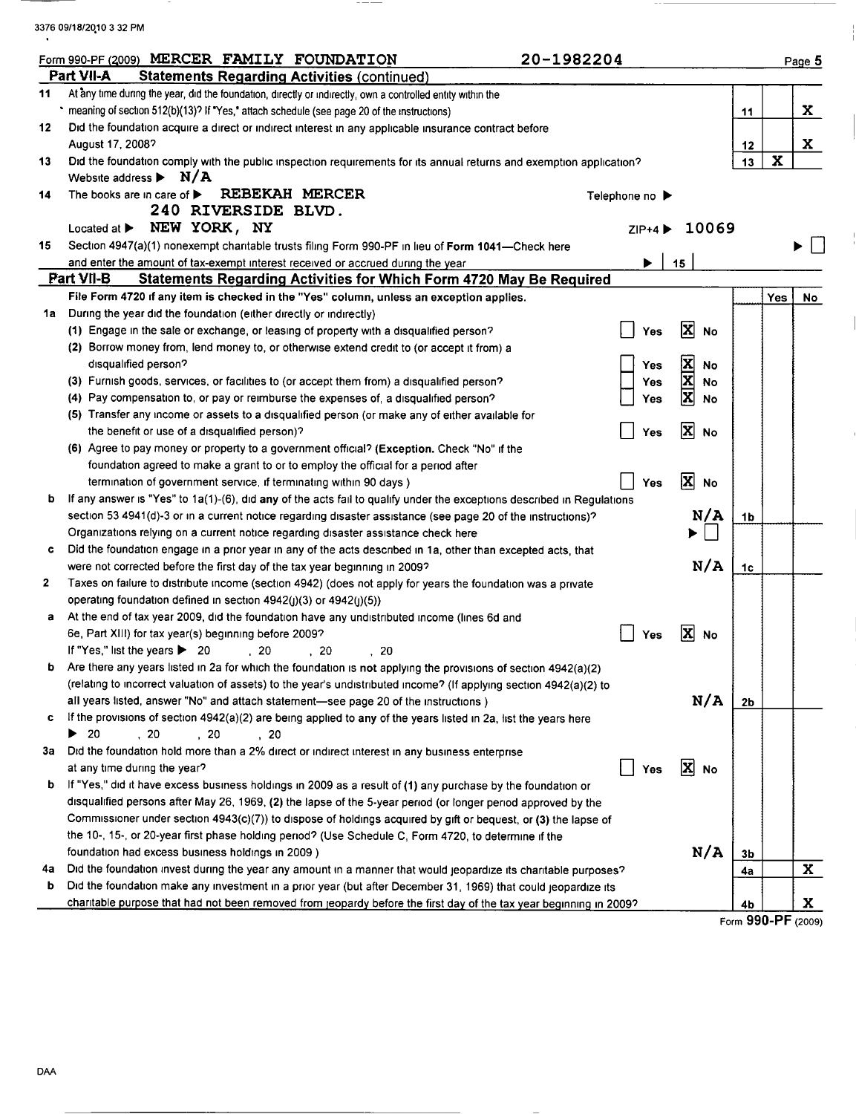3376 09/18/20,10 <sup>3</sup> 32 PM  $\ddot{\phantom{1}}$ 

|         | Form 990-PF (2009) MERCER FAMILY FOUNDATION<br>20-1982204                                                                  |                |                                       |                    |             | Page 5       |
|---------|----------------------------------------------------------------------------------------------------------------------------|----------------|---------------------------------------|--------------------|-------------|--------------|
|         | Part VII-A<br><b>Statements Regarding Activities (continued)</b>                                                           |                |                                       |                    |             |              |
| 11      | At any time during the year, did the foundation, directly or indirectly, own a controlled entity within the                |                |                                       |                    |             |              |
|         | * meaning of section 512(b)(13)? If "Yes," attach schedule (see page 20 of the instructions)                               |                |                                       | 11                 |             | X.           |
| 12      | Did the foundation acquire a direct or indirect interest in any applicable insurance contract before                       |                |                                       |                    |             |              |
|         | August 17, 2008?                                                                                                           |                |                                       | 12                 |             | X.           |
| 13      | Did the foundation comply with the public inspection requirements for its annual returns and exemption application?        |                |                                       | 13                 | $\mathbf x$ |              |
|         | Website address $\blacktriangleright$ N/A                                                                                  |                |                                       |                    |             |              |
| 14      | <b>REBEKAH MERCER</b><br>The books are in care of $\blacktriangleright$                                                    | Telephone no ▶ |                                       |                    |             |              |
|         | 240 RIVERSIDE BLVD.                                                                                                        |                |                                       |                    |             |              |
|         | Located at $\triangleright$ NEW YORK, NY                                                                                   | $ZIP+4$        | 10069                                 |                    |             |              |
| 15      | Section 4947(a)(1) nonexempt charitable trusts filing Form 990-PF in lieu of Form 1041-Check here                          |                |                                       |                    |             |              |
|         | and enter the amount of tax-exempt interest received or accrued during the year                                            | ▶              | 15                                    |                    |             |              |
|         | Part VII-B<br><b>Statements Regarding Activities for Which Form 4720 May Be Required</b>                                   |                |                                       |                    |             |              |
|         | File Form 4720 if any item is checked in the "Yes" column, unless an exception applies.                                    |                |                                       |                    | Yes         | No           |
| 1a      | During the year did the foundation (either directly or indirectly)                                                         |                |                                       |                    |             |              |
|         | (1) Engage in the sale or exchange, or leasing of property with a disqualified person?                                     | Yes            | X<br><b>No</b>                        |                    |             |              |
|         | (2) Borrow money from, lend money to, or otherwise extend credit to (or accept it from) a                                  |                |                                       |                    |             |              |
|         | disqualified person?                                                                                                       | Yes            | $\frac{\mathbf{X}}{\mathbf{X}}$<br>No |                    |             |              |
|         | (3) Furnish goods, services, or facilities to (or accept them from) a disqualified person?                                 | Yes            | No                                    |                    |             |              |
|         | (4) Pay compensation to, or pay or reimburse the expenses of, a disqualified person?                                       | Yes            | $\overline{\mathbf{x}}$<br><b>No</b>  |                    |             |              |
|         | (5) Transfer any income or assets to a disqualified person (or make any of either available for                            |                |                                       |                    |             |              |
|         | the benefit or use of a disqualified person)?                                                                              | Yes            | 冈<br><b>No</b>                        |                    |             |              |
|         | (6) Agree to pay money or property to a government official? (Exception. Check "No" if the                                 |                |                                       |                    |             |              |
|         | foundation agreed to make a grant to or to employ the official for a period after                                          |                |                                       |                    |             |              |
|         | termination of government service, if terminating within 90 days )                                                         | Yes            | $\overline{\mathbf{x}}$<br>No         |                    |             |              |
| b       | If any answer is "Yes" to 1a(1)-(6), did any of the acts fail to qualify under the exceptions described in Regulations     |                |                                       |                    |             |              |
|         | section 53 4941(d)-3 or in a current notice regarding disaster assistance (see page 20 of the instructions)?               |                | N/A                                   | 1 <sub>b</sub>     |             |              |
|         | Organizations relying on a current notice regarding disaster assistance check here                                         |                |                                       |                    |             |              |
| c       | Did the foundation engage in a prior year in any of the acts described in 1a, other than excepted acts, that               |                |                                       |                    |             |              |
|         | were not corrected before the first day of the tax year beginning in 2009?                                                 |                | N/A                                   | 1 <sub>c</sub>     |             |              |
| 2       | Taxes on failure to distribute income (section 4942) (does not apply for years the foundation was a private                |                |                                       |                    |             |              |
|         | operating foundation defined in section 4942(j)(3) or 4942(j)(5))                                                          |                |                                       |                    |             |              |
| a       | At the end of tax year 2009, did the foundation have any undistributed income (lines 6d and                                |                |                                       |                    |             |              |
|         | 6e, Part XIII) for tax year(s) beginning before 2009?                                                                      | Yes            | $\vert \mathbf{x} \vert$<br>No        |                    |             |              |
|         | If "Yes" list the years ▶ 20<br>.20<br>-20<br>20                                                                           |                |                                       |                    |             |              |
| b       | Are there any years listed in 2a for which the foundation is not applying the provisions of section 4942(a)(2)             |                |                                       |                    |             |              |
|         | (relating to incorrect valuation of assets) to the year's undistributed income? (If applying section 4942(a)(2) to         |                | N/A                                   |                    |             |              |
|         | all years listed, answer "No" and attach statement—see page 20 of the instructions)                                        |                |                                       | 2 <sub>b</sub>     |             |              |
| c       | If the provisions of section 4942(a)(2) are being applied to any of the years listed in 2a, list the years here<br>▶<br>20 |                |                                       |                    |             |              |
| За      | , 20<br>, 20<br>, 20<br>Did the foundation hold more than a 2% direct or indirect interest in any business enterprise      |                |                                       |                    |             |              |
|         |                                                                                                                            |                | X No                                  |                    |             |              |
| b       | at any time during the year?                                                                                               | Yes            |                                       |                    |             |              |
|         | If "Yes," did it have excess business holdings in 2009 as a result of (1) any purchase by the foundation or                |                |                                       |                    |             |              |
|         | disqualified persons after May 26, 1969, (2) the lapse of the 5-year period (or longer period approved by the              |                |                                       |                    |             |              |
|         | Commissioner under section 4943(c)(7)) to dispose of holdings acquired by gift or bequest, or (3) the lapse of             |                |                                       |                    |             |              |
|         | the 10-, 15-, or 20-year first phase holding period? (Use Schedule C, Form 4720, to determine if the                       |                | N/A                                   |                    |             |              |
|         | foundation had excess business holdings in 2009)                                                                           |                |                                       | 3b                 |             |              |
| 4a<br>b | Did the foundation invest during the year any amount in a manner that would jeopardize its charitable purposes?            |                |                                       | 4a                 |             | $\mathbf{x}$ |
|         | Did the foundation make any investment in a prior year (but after December 31, 1969) that could jeopardize its             |                |                                       |                    |             | X            |
|         | charitable purpose that had not been removed from jeopardy before the first day of the tax year beginning in 2009?         |                |                                       | 4b                 |             |              |
|         |                                                                                                                            |                |                                       | Form 990-PF (2009) |             |              |

 $---$ 

 $\sim$   $\sim$   $\sim$ 

 $\frac{1}{1}$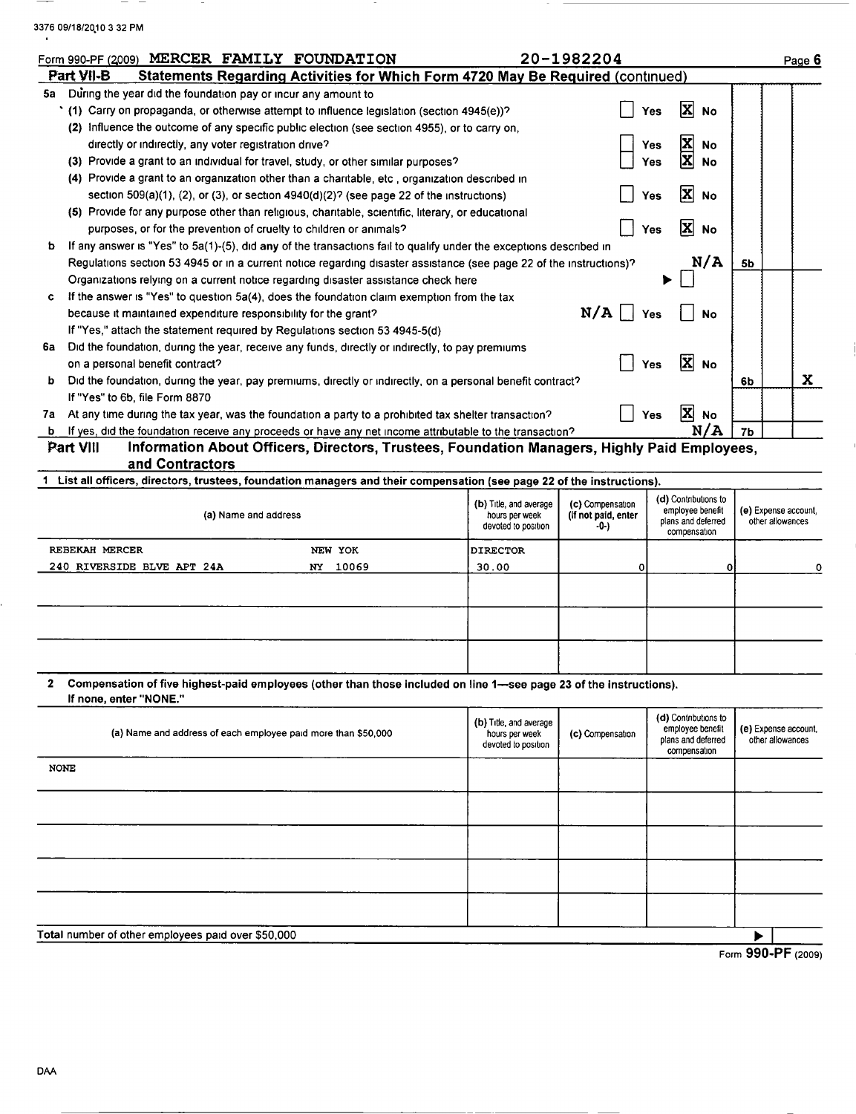| 3376 09/18/2010 3 32 PM |  |
|-------------------------|--|
|                         |  |

 $-$ 

 $\overline{\phantom{m}}$ 

|    | Form 990-PF (2009) MERCER FAMILY FOUNDATION                                                                             |                                                                                 |                                                                 | 20-1982204                                      |                                                                |                |                                          | Page 6      |
|----|-------------------------------------------------------------------------------------------------------------------------|---------------------------------------------------------------------------------|-----------------------------------------------------------------|-------------------------------------------------|----------------------------------------------------------------|----------------|------------------------------------------|-------------|
|    | Part VII-B                                                                                                              | Statements Regarding Activities for Which Form 4720 May Be Required (continued) |                                                                 |                                                 |                                                                |                |                                          |             |
| 5а | During the year did the foundation pay or incur any amount to                                                           |                                                                                 |                                                                 |                                                 |                                                                |                |                                          |             |
|    | * (1) Carry on propaganda, or otherwise attempt to influence legislation (section 4945(e))?                             |                                                                                 |                                                                 |                                                 | x<br><b>No</b><br>Yes                                          |                |                                          |             |
|    | (2) Influence the outcome of any specific public election (see section 4955), or to carry on,                           |                                                                                 |                                                                 |                                                 |                                                                |                |                                          |             |
|    | directly or indirectly, any voter registration drive?                                                                   |                                                                                 |                                                                 |                                                 | x<br>Yes<br>No                                                 |                |                                          |             |
|    | (3) Provide a grant to an individual for travel, study, or other similar purposes?                                      |                                                                                 |                                                                 |                                                 | x<br><b>No</b><br>Yes                                          |                |                                          |             |
|    | (4) Provide a grant to an organization other than a charitable, etc., organization described in                         |                                                                                 |                                                                 |                                                 |                                                                |                |                                          |             |
|    | section $509(a)(1)$ , (2), or (3), or section $4940(d)(2)$ ? (see page 22 of the instructions)                          |                                                                                 |                                                                 |                                                 | X<br><b>No</b><br>Yes                                          |                |                                          |             |
|    | (5) Provide for any purpose other than religious, charitable, scientific, literary, or educational                      |                                                                                 |                                                                 |                                                 |                                                                |                |                                          |             |
|    | purposes, or for the prevention of cruelty to children or animals?                                                      |                                                                                 |                                                                 |                                                 | ΙxΙ<br><b>No</b><br>Yes                                        |                |                                          |             |
| b  | If any answer is "Yes" to 5a(1)-(5), did any of the transactions fail to qualify under the exceptions described in      |                                                                                 |                                                                 |                                                 |                                                                |                |                                          |             |
|    | Regulations section 53 4945 or in a current notice regarding disaster assistance (see page 22 of the instructions)?     |                                                                                 |                                                                 |                                                 | N/A                                                            | 5b             |                                          |             |
|    | Organizations relying on a current notice regarding disaster assistance check here                                      |                                                                                 |                                                                 |                                                 |                                                                |                |                                          |             |
| c  | If the answer is "Yes" to question 5a(4), does the foundation claim exemption from the tax                              |                                                                                 |                                                                 |                                                 |                                                                |                |                                          |             |
|    | because it maintained expenditure responsibility for the grant?                                                         |                                                                                 |                                                                 | N/A                                             | Yes<br><b>No</b>                                               |                |                                          |             |
|    | If "Yes," attach the statement required by Regulations section 53 4945-5(d)                                             |                                                                                 |                                                                 |                                                 |                                                                |                |                                          |             |
|    | 6a Did the foundation, during the year, receive any funds, directly or indirectly, to pay premiums                      |                                                                                 |                                                                 |                                                 |                                                                |                |                                          |             |
|    | on a personal benefit contract?                                                                                         |                                                                                 |                                                                 |                                                 | 図<br>Yes<br><b>No</b>                                          |                |                                          |             |
| b. | Did the foundation, during the year, pay premiums, directly or indirectly, on a personal benefit contract?              |                                                                                 |                                                                 |                                                 |                                                                | 6b             |                                          | $\mathbf x$ |
|    | If "Yes" to 6b, file Form 8870                                                                                          |                                                                                 |                                                                 |                                                 |                                                                |                |                                          |             |
| 7а | At any time during the tax year, was the foundation a party to a prohibited tax shelter transaction?                    |                                                                                 |                                                                 |                                                 | $\mathbf{x}$<br><b>Yes</b><br>No                               |                |                                          |             |
|    | b If yes, did the foundation receive any proceeds or have any net income attributable to the transaction?               |                                                                                 |                                                                 |                                                 | N/A                                                            | 7 <sub>b</sub> |                                          |             |
|    | Part VIII<br>Information About Officers, Directors, Trustees, Foundation Managers, Highly Paid Employees,               |                                                                                 |                                                                 |                                                 |                                                                |                |                                          |             |
|    | and Contractors                                                                                                         |                                                                                 |                                                                 |                                                 |                                                                |                |                                          |             |
|    | 1 List all officers, directors, trustees, foundation managers and their compensation (see page 22 of the instructions). |                                                                                 |                                                                 |                                                 |                                                                |                |                                          |             |
|    | (a) Name and address                                                                                                    |                                                                                 | (b) Title, and average<br>hours per week<br>devoted to position | (c) Compensation<br>(If not paid, enter<br>-0-) | (d) Contributions to<br>employee benefit<br>plans and deferred |                | (e) Expense account,<br>other allowances |             |
|    |                                                                                                                         |                                                                                 |                                                                 |                                                 | compensation                                                   |                |                                          |             |
|    | REBEKAH MERCER                                                                                                          | NEW YOK                                                                         | <b>DIRECTOR</b>                                                 |                                                 |                                                                |                |                                          |             |
|    | 240 RIVERSIDE BLVE APT 24A                                                                                              | NY 10069                                                                        | 30.00                                                           |                                                 | 0                                                              |                |                                          | 0           |
|    |                                                                                                                         |                                                                                 |                                                                 |                                                 |                                                                |                |                                          |             |

<sup>2</sup> Compensation of five highest-paid employees (other than those included on line 1-see page 23 of the instructions). If none. enter "NONE."

|             |                                                               |                                       |                  |                                          | $0.00 \, \text{m}$   |  |
|-------------|---------------------------------------------------------------|---------------------------------------|------------------|------------------------------------------|----------------------|--|
|             | Total number of other employees paid over \$50,000            |                                       |                  |                                          |                      |  |
|             |                                                               |                                       |                  |                                          |                      |  |
|             |                                                               |                                       |                  |                                          |                      |  |
|             |                                                               |                                       |                  |                                          |                      |  |
|             |                                                               |                                       |                  |                                          |                      |  |
|             |                                                               |                                       |                  |                                          |                      |  |
|             |                                                               |                                       |                  |                                          |                      |  |
|             |                                                               |                                       |                  |                                          |                      |  |
|             |                                                               |                                       |                  |                                          |                      |  |
|             |                                                               |                                       |                  |                                          |                      |  |
|             |                                                               |                                       |                  |                                          |                      |  |
| <b>NONE</b> |                                                               |                                       |                  |                                          |                      |  |
|             | (a) Name and address of each employee paid more than \$50,000 | hours per week<br>devoted to position | (c) Compensation | plans and deferred<br>compensation       | other allowances     |  |
|             |                                                               | (b) Title, and average                |                  | (d) Contributions to<br>employee benefit | (e) Expense account, |  |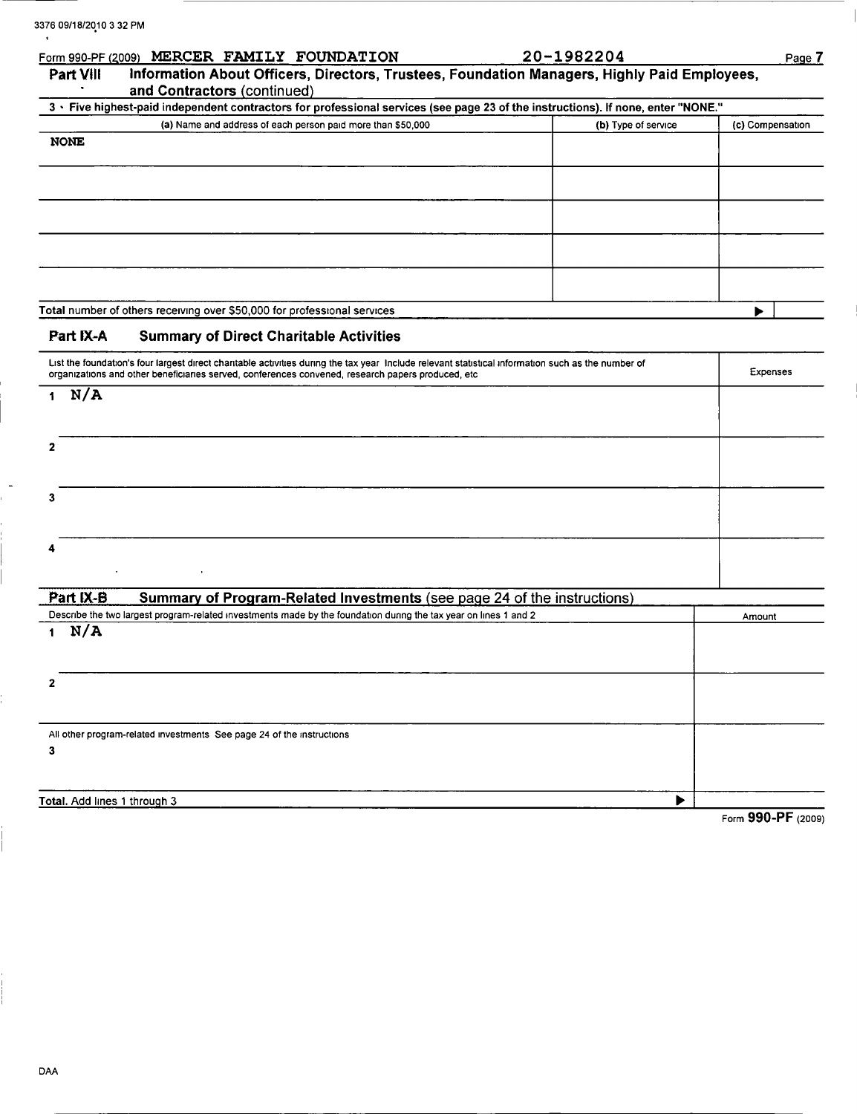|                              | Form 990-PF (2009) MERCER FAMILY FOUNDATION                                                                                                                                                                                                             | 20-1982204          | Page 7           |
|------------------------------|---------------------------------------------------------------------------------------------------------------------------------------------------------------------------------------------------------------------------------------------------------|---------------------|------------------|
| Part VIII                    | Information About Officers, Directors, Trustees, Foundation Managers, Highly Paid Employees,                                                                                                                                                            |                     |                  |
|                              | and Contractors (continued)<br>3 · Five highest-paid independent contractors for professional services (see page 23 of the instructions). If none, enter "NONE."                                                                                        |                     |                  |
|                              | (a) Name and address of each person paid more than \$50,000                                                                                                                                                                                             | (b) Type of service | (c) Compensation |
| <b>NONE</b>                  |                                                                                                                                                                                                                                                         |                     |                  |
|                              |                                                                                                                                                                                                                                                         |                     |                  |
|                              |                                                                                                                                                                                                                                                         |                     |                  |
|                              |                                                                                                                                                                                                                                                         |                     |                  |
|                              |                                                                                                                                                                                                                                                         |                     |                  |
|                              |                                                                                                                                                                                                                                                         |                     |                  |
|                              |                                                                                                                                                                                                                                                         |                     |                  |
|                              |                                                                                                                                                                                                                                                         |                     |                  |
|                              | Total number of others receiving over \$50,000 for professional services                                                                                                                                                                                |                     |                  |
|                              |                                                                                                                                                                                                                                                         |                     |                  |
| Part IX-A                    | <b>Summary of Direct Charitable Activities</b>                                                                                                                                                                                                          |                     |                  |
|                              | List the foundation's four largest direct charitable activities during the tax year Include relevant statistical information such as the number of<br>organizations and other beneficiaries served, conferences convened, research papers produced, etc |                     | Expenses         |
| N/A<br>1                     |                                                                                                                                                                                                                                                         |                     |                  |
|                              |                                                                                                                                                                                                                                                         |                     |                  |
|                              |                                                                                                                                                                                                                                                         |                     |                  |
| $\overline{2}$               |                                                                                                                                                                                                                                                         |                     |                  |
|                              |                                                                                                                                                                                                                                                         |                     |                  |
| 3                            |                                                                                                                                                                                                                                                         |                     |                  |
|                              |                                                                                                                                                                                                                                                         |                     |                  |
|                              |                                                                                                                                                                                                                                                         |                     |                  |
|                              |                                                                                                                                                                                                                                                         |                     |                  |
|                              |                                                                                                                                                                                                                                                         |                     |                  |
| Part IX-B                    | Summary of Program-Related Investments (see page 24 of the instructions)                                                                                                                                                                                |                     |                  |
|                              | Describe the two largest program-related investments made by the foundation during the tax year on lines 1 and 2                                                                                                                                        |                     | Amount           |
| N/A<br>$1 -$                 |                                                                                                                                                                                                                                                         |                     |                  |
|                              |                                                                                                                                                                                                                                                         |                     |                  |
| 2                            |                                                                                                                                                                                                                                                         |                     |                  |
|                              |                                                                                                                                                                                                                                                         |                     |                  |
|                              |                                                                                                                                                                                                                                                         |                     |                  |
|                              | All other program-related investments See page 24 of the instructions                                                                                                                                                                                   |                     |                  |
| 3                            |                                                                                                                                                                                                                                                         |                     |                  |
|                              |                                                                                                                                                                                                                                                         |                     |                  |
| Total. Add lines 1 through 3 |                                                                                                                                                                                                                                                         | ▶                   |                  |
|                              |                                                                                                                                                                                                                                                         |                     | 000 DE           |

Form 990-PF (2009)

 $\overline{\phantom{a}}$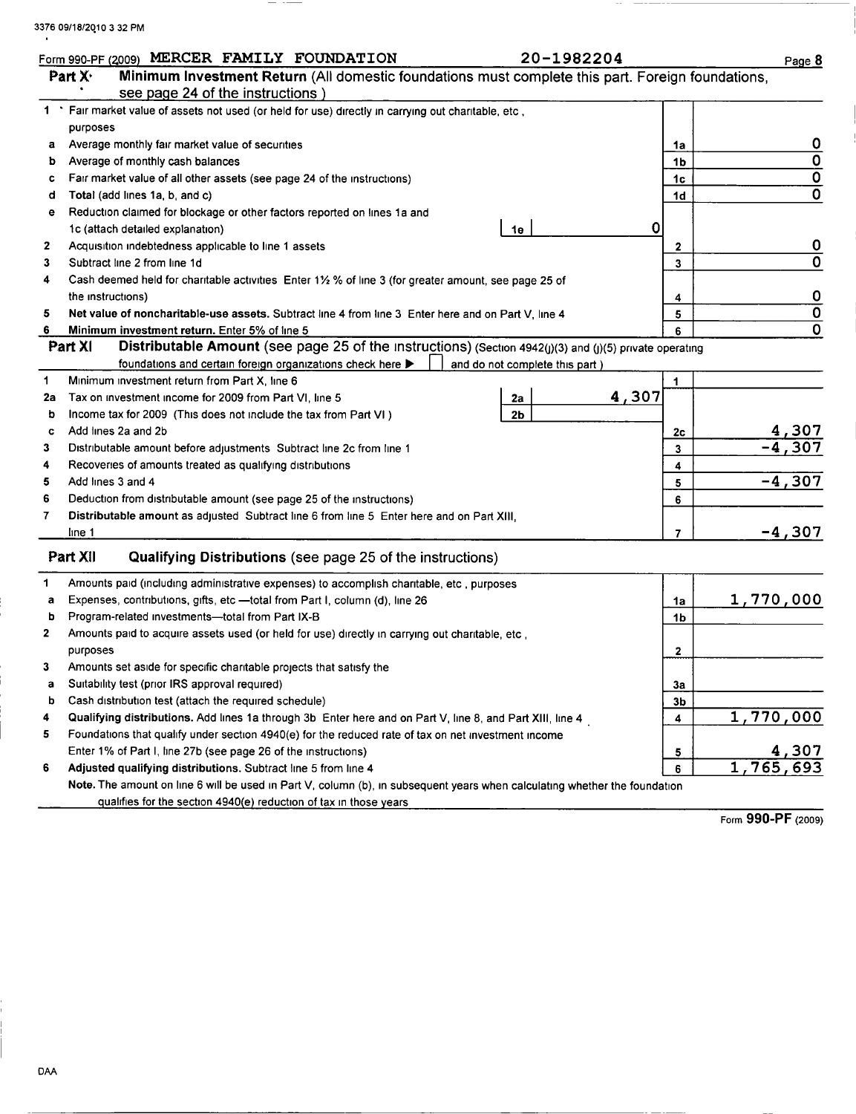$\ddot{\phantom{1}}$ 

 $\frac{1}{2} \left( \frac{1}{2} \right) \left( \frac{1}{2} \right) \left( \frac{1}{2} \right) \left( \frac{1}{2} \right) \left( \frac{1}{2} \right) \left( \frac{1}{2} \right) \left( \frac{1}{2} \right) \left( \frac{1}{2} \right) \left( \frac{1}{2} \right) \left( \frac{1}{2} \right) \left( \frac{1}{2} \right) \left( \frac{1}{2} \right) \left( \frac{1}{2} \right) \left( \frac{1}{2} \right) \left( \frac{1}{2} \right) \left( \frac{1}{2} \right) \left( \frac$ 

|    | Form 990-PF (2009) MERCER FAMILY FOUNDATION<br>20-1982204                                                                  |                | Page 8                    |
|----|----------------------------------------------------------------------------------------------------------------------------|----------------|---------------------------|
|    | Minimum Investment Return (All domestic foundations must complete this part. Foreign foundations,<br>Part $X1$             |                |                           |
|    | see page 24 of the instructions)                                                                                           |                |                           |
|    | 1 * Fair market value of assets not used (or held for use) directly in carrying out charitable, etc,                       |                |                           |
|    | purposes                                                                                                                   |                |                           |
| a  | Average monthly fair market value of securities                                                                            | 1a             | $\overline{\mathbf{0}}$   |
| b  | Average of monthly cash balances                                                                                           | 1b             | $\overline{0}$            |
| c  | Fair market value of all other assets (see page 24 of the instructions)                                                    | 1c             | $\overline{\mathbf{0}}$   |
| d  | Total (add lines 1a, b, and c)                                                                                             | 1d             | $\overline{\mathfrak{o}}$ |
| е  | Reduction claimed for blockage or other factors reported on lines 1a and                                                   |                |                           |
|    | 0<br>1c (attach detailed explanation)<br>1е                                                                                |                |                           |
| 2  | Acquisition indebtedness applicable to line 1 assets                                                                       | 2              | $\mathbf 0$               |
| 3  | Subtract line 2 from line 1d                                                                                               | 3              | $\overline{\mathbf{0}}$   |
| 4  | Cash deemed held for charitable activities Enter 1½ % of line 3 (for greater amount, see page 25 of                        |                |                           |
|    | the instructions)                                                                                                          | 4              | $\overline{\mathbf{0}}$   |
| 5  | Net value of noncharitable-use assets. Subtract line 4 from line 3 Enter here and on Part V, line 4                        | 5              | $\overline{\mathfrak{o}}$ |
| 6  | Minimum investment return. Enter 5% of line 5                                                                              | 6              | 0                         |
|    | Distributable Amount (see page 25 of the Instructions) (Section 4942(j)(3) and (j)(5) private operating<br>Part XI         |                |                           |
|    | foundations and certain foreign organizations check here ><br>and do not complete this part)                               |                |                           |
| 1  | Minimum investment return from Part X, line 6                                                                              | 1              |                           |
| 2a | 4,307<br>Tax on investment income for 2009 from Part VI, line 5<br>2a                                                      |                |                           |
| b  | 2 <sub>b</sub><br>Income tax for 2009 (This does not include the tax from Part VI)                                         |                |                           |
| c  | Add lines 2a and 2b                                                                                                        | 2c             |                           |
| 3  | Distributable amount before adjustments Subtract line 2c from line 1                                                       | 3              | $\frac{4,307}{-4,307}$    |
| 4  | Recoveries of amounts treated as qualifying distributions                                                                  | 4              |                           |
| 5  | Add lines 3 and 4                                                                                                          | 5              | $-4,307$                  |
| 6  | Deduction from distributable amount (see page 25 of the instructions)                                                      | 6              |                           |
| 7  | Distributable amount as adjusted Subtract line 6 from line 5 Enter here and on Part XIII,                                  |                |                           |
|    | line 1                                                                                                                     | 7              | -4,307                    |
|    | Part XII<br>Qualifying Distributions (see page 25 of the instructions)                                                     |                |                           |
| 1. | Amounts paid (including administrative expenses) to accomplish charitable, etc, purposes                                   |                |                           |
| a  | Expenses, contributions, gifts, etc - total from Part I, column (d), line 26                                               | 1a             | 1,770,000                 |
| b  | Program-related investments-total from Part IX-B                                                                           | 1b             |                           |
| 2  | Amounts paid to acquire assets used (or held for use) directly in carrying out charitable, etc,                            |                |                           |
|    | purposes                                                                                                                   | 2              |                           |
| 3  | Amounts set aside for specific charitable projects that satisfy the                                                        |                |                           |
| а  | Suitability test (prior IRS approval required)                                                                             | 3a             |                           |
| b  | Cash distribution test (attach the required schedule)                                                                      | 3 <sub>b</sub> |                           |
| 4  | Qualifying distributions. Add lines 1a through 3b Enter here and on Part V, line 8, and Part XIII, line 4                  | 4              | 1,770,000                 |
| 5  | Foundations that qualify under section 4940(e) for the reduced rate of tax on net investment income                        |                |                           |
|    | Enter 1% of Part I, line 27b (see page 26 of the instructions)                                                             | 5              | <u>4,307</u>              |
| 6  | Adjusted qualifying distributions. Subtract line 5 from line 4                                                             | 6              | 1,765,693                 |
|    | Note. The amount on line 6 will be used in Part V, column (b), in subsequent years when calculating whether the foundation |                |                           |
|    | qualifies for the section 4940(e) reduction of tax in those years                                                          |                |                           |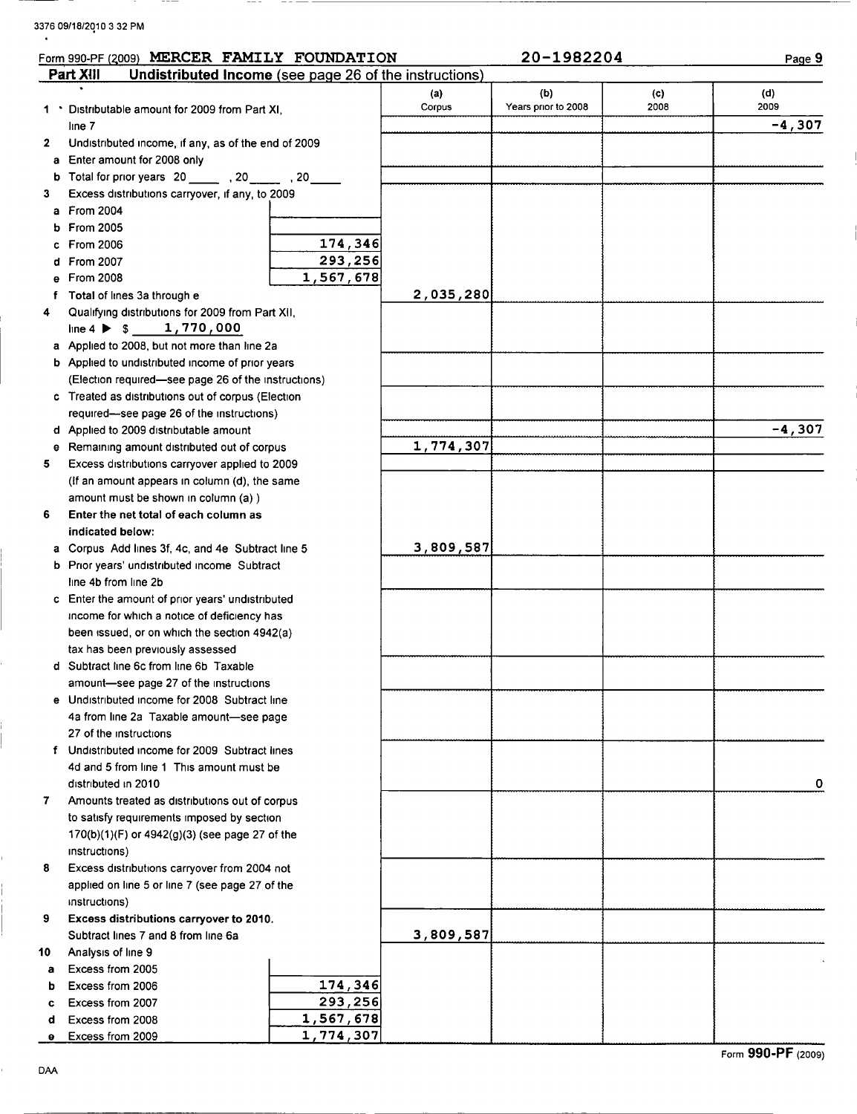3376 09/18/2010 <sup>3</sup> 32 PM

 $-$ 

|              | Form 990-PF (2009) MERCER FAMILY FOUNDATION                         |                        |           | 20-1982204          |      | Page 9   |
|--------------|---------------------------------------------------------------------|------------------------|-----------|---------------------|------|----------|
|              | Part XIII<br>Undistributed Income (see page 26 of the instructions) |                        |           |                     |      |          |
|              |                                                                     |                        | (a)       | (b)                 | (c)  | (d)      |
|              | 1 • Distributable amount for 2009 from Part XI,                     |                        | Corpus    | Years prior to 2008 | 2008 | 2009     |
|              | line 7                                                              |                        |           |                     |      | $-4,307$ |
| $\mathbf{2}$ | Undistributed income, if any, as of the end of 2009                 |                        |           |                     |      |          |
| a            | Enter amount for 2008 only                                          |                        |           |                     |      |          |
| b            | Total for prior years 20 _______ , 20 _____ , 20 _____              |                        |           |                     |      |          |
| 3            | Excess distributions carryover, if any, to 2009                     |                        |           |                     |      |          |
| a            | From 2004                                                           |                        |           |                     |      |          |
| b            | <b>From 2005</b>                                                    |                        |           |                     |      |          |
|              | <b>From 2006</b>                                                    | 174,346                |           |                     |      |          |
|              | From 2007                                                           | 293,256                |           |                     |      |          |
|              | From 2008                                                           | 1,567,678              |           |                     |      |          |
| Ť.           | Total of lines 3a through e                                         |                        | 2,035,280 |                     |      |          |
| 4            | Qualifying distributions for 2009 from Part XII,                    |                        |           |                     |      |          |
|              | line 4 $\triangleright$ \$ 1,770,000                                |                        |           |                     |      |          |
|              | a Applied to 2008, but not more than line 2a                        |                        |           |                     |      |          |
|              | <b>b</b> Applied to undistributed income of prior years             |                        |           |                     |      |          |
|              | (Election required-see page 26 of the instructions)                 |                        |           |                     |      |          |
|              | c Treated as distributions out of corpus (Election                  |                        |           |                     |      |          |
|              | required-see page 26 of the instructions)                           |                        |           |                     |      |          |
|              | d Applied to 2009 distributable amount                              |                        |           |                     |      | $-4,307$ |
| е            | Remaining amount distributed out of corpus                          |                        | 1,774,307 |                     |      |          |
| 5            | Excess distributions carryover applied to 2009                      |                        |           |                     |      |          |
|              | (If an amount appears in column (d), the same                       |                        |           |                     |      |          |
|              | amount must be shown in column (a))                                 |                        |           |                     |      |          |
| 6            | Enter the net total of each column as                               |                        |           |                     |      |          |
|              | indicated below:                                                    |                        |           |                     |      |          |
|              | a Corpus Add lines 3f, 4c, and 4e Subtract line 5                   |                        | 3,809,587 |                     |      |          |
| b            | Prior years' undistributed income Subtract                          |                        |           |                     |      |          |
|              | line 4b from line 2b                                                |                        |           |                     |      |          |
|              | c Enter the amount of prior years' undistributed                    |                        |           |                     |      |          |
|              | income for which a notice of deficiency has                         |                        |           |                     |      |          |
|              | been issued, or on which the section 4942(a)                        |                        |           |                     |      |          |
|              | tax has been previously assessed                                    |                        |           |                     |      |          |
|              | d Subtract line 6c from line 6b Taxable                             |                        |           |                     |      |          |
|              | amount-see page 27 of the instructions                              |                        |           |                     |      |          |
|              | e Undistributed income for 2008 Subtract line                       |                        |           |                     |      |          |
|              | 4a from line 2a Taxable amount-see page                             |                        |           |                     |      |          |
|              | 27 of the instructions                                              |                        |           |                     |      |          |
|              | f Undistributed income for 2009 Subtract lines                      |                        |           |                     |      |          |
|              | 4d and 5 from line 1 This amount must be                            |                        |           |                     |      |          |
|              | distributed in 2010                                                 |                        |           |                     |      | 0        |
| 7            | Amounts treated as distributions out of corpus                      |                        |           |                     |      |          |
|              | to satisfy requirements imposed by section                          |                        |           |                     |      |          |
|              | 170(b)(1)(F) or 4942(g)(3) (see page 27 of the                      |                        |           |                     |      |          |
|              | instructions)                                                       |                        |           |                     |      |          |
| 8            | Excess distributions carryover from 2004 not                        |                        |           |                     |      |          |
|              | applied on line 5 or line 7 (see page 27 of the                     |                        |           |                     |      |          |
|              | instructions)                                                       |                        |           |                     |      |          |
| 9            | Excess distributions carryover to 2010.                             |                        |           |                     |      |          |
|              | Subtract lines 7 and 8 from line 6a                                 |                        | 3,809,587 |                     |      |          |
| 10           | Analysis of line 9                                                  |                        |           |                     |      |          |
| a            | Excess from 2005                                                    |                        |           |                     |      |          |
| b            | Excess from 2006                                                    | 174,346                |           |                     |      |          |
| c            | Excess from 2007                                                    | 293,256                |           |                     |      |          |
| d            | Excess from 2008                                                    | 1,567,678<br>1,774,307 |           |                     |      |          |
| θ            | Excess from 2009                                                    |                        |           |                     |      |          |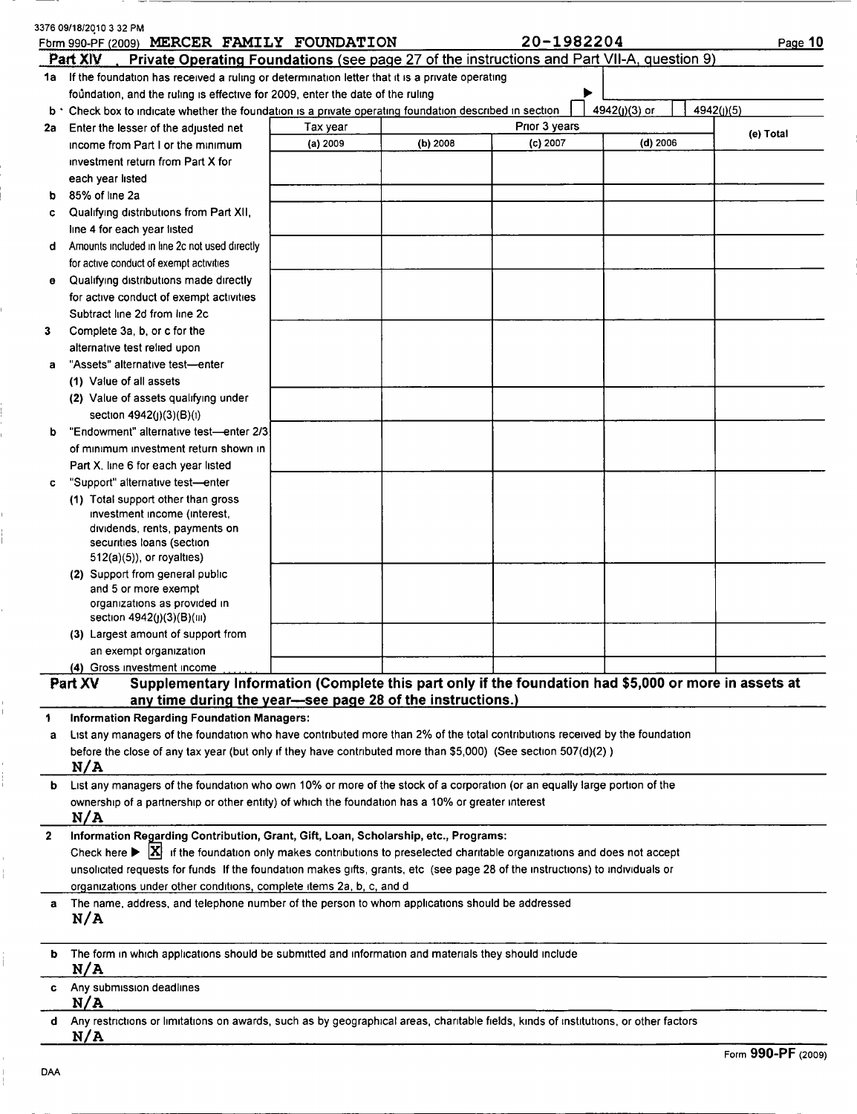|              | 3376 09/18/2010 3 32 PM<br>Form 990-PF (2009) MERCER FAMILY FOUNDATION                                                                             |          |          | 20-1982204    |               | Page 10    |
|--------------|----------------------------------------------------------------------------------------------------------------------------------------------------|----------|----------|---------------|---------------|------------|
|              | Part XIV<br>Private Operating Foundations (see page 27 of the instructions and Part VII-A, question 9)                                             |          |          |               |               |            |
|              | 1a If the foundation has received a ruling or determination letter that it is a private operating                                                  |          |          |               |               |            |
|              | foundation, and the ruling is effective for 2009, enter the date of the ruling                                                                     |          |          |               |               |            |
|              | b * Check box to indicate whether the foundation is a private operating foundation described in section                                            |          |          | Prior 3 years | 4942(j)(3) or | 4942(j)(5) |
|              | 2a Enter the lesser of the adjusted net                                                                                                            | Tax year |          | (c) 2007      | $(d)$ 2006    | (e) Total  |
|              | income from Part I or the minimum                                                                                                                  | (a) 2009 | (b) 2008 |               |               |            |
|              | investment return from Part X for                                                                                                                  |          |          |               |               |            |
|              | each year listed<br>85% of line 2a                                                                                                                 |          |          |               |               |            |
| b            | Qualifying distributions from Part XII,                                                                                                            |          |          |               |               |            |
| c            | line 4 for each year listed                                                                                                                        |          |          |               |               |            |
| d            | Amounts included in line 2c not used directly                                                                                                      |          |          |               |               |            |
|              | for active conduct of exempt activities                                                                                                            |          |          |               |               |            |
| ۰            | Qualifying distributions made directly                                                                                                             |          |          |               |               |            |
|              | for active conduct of exempt activities                                                                                                            |          |          |               |               |            |
|              | Subtract line 2d from line 2c                                                                                                                      |          |          |               |               |            |
| 3            | Complete 3a, b, or c for the                                                                                                                       |          |          |               |               |            |
|              | alternative test relied upon                                                                                                                       |          |          |               |               |            |
| a            | "Assets" alternative test-enter                                                                                                                    |          |          |               |               |            |
|              | (1) Value of all assets                                                                                                                            |          |          |               |               |            |
|              | (2) Value of assets qualifying under                                                                                                               |          |          |               |               |            |
|              | section 4942(j)(3)(B)(i)                                                                                                                           |          |          |               |               |            |
| b            | "Endowment" alternative test-enter 2/3                                                                                                             |          |          |               |               |            |
|              | of minimum investment return shown in                                                                                                              |          |          |               |               |            |
|              | Part X, line 6 for each year listed                                                                                                                |          |          |               |               |            |
| c            | "Support" alternative test-enter                                                                                                                   |          |          |               |               |            |
|              | (1) Total support other than gross                                                                                                                 |          |          |               |               |            |
|              | investment income (interest,                                                                                                                       |          |          |               |               |            |
|              | dividends, rents, payments on                                                                                                                      |          |          |               |               |            |
|              | securities loans (section                                                                                                                          |          |          |               |               |            |
|              | $512(a)(5)$ , or royalties)                                                                                                                        |          |          |               |               |            |
|              | (2) Support from general public<br>and 5 or more exempt                                                                                            |          |          |               |               |            |
|              | organizations as provided in                                                                                                                       |          |          |               |               |            |
|              | section 4942(j)(3)(B)(iii)                                                                                                                         |          |          |               |               |            |
|              | (3) Largest amount of support from                                                                                                                 |          |          |               |               |            |
|              | an exempt organization                                                                                                                             |          |          |               |               |            |
|              | (4) Gross investment income                                                                                                                        |          |          |               |               |            |
|              | Supplementary Information (Complete this part only if the foundation had \$5,000 or more in assets at<br>Part XV                                   |          |          |               |               |            |
|              | any time during the year-see page 28 of the instructions.)                                                                                         |          |          |               |               |            |
| 1            | <b>Information Regarding Foundation Managers:</b>                                                                                                  |          |          |               |               |            |
| a            | List any managers of the foundation who have contributed more than 2% of the total contributions received by the foundation                        |          |          |               |               |            |
|              | before the close of any tax year (but only if they have contributed more than \$5,000) (See section 507(d)(2))                                     |          |          |               |               |            |
|              | N/A                                                                                                                                                |          |          |               |               |            |
| b            | List any managers of the foundation who own 10% or more of the stock of a corporation (or an equally large portion of the                          |          |          |               |               |            |
|              | ownership of a partnership or other entity) of which the foundation has a 10% or greater interest                                                  |          |          |               |               |            |
|              | N/A                                                                                                                                                |          |          |               |               |            |
| $\mathbf{2}$ | Information Regarding Contribution, Grant, Gift, Loan, Scholarship, etc., Programs:                                                                |          |          |               |               |            |
|              | Check here $\triangleright$ $\vert X \vert$ if the foundation only makes contributions to preselected charitable organizations and does not accept |          |          |               |               |            |
|              | unsolicited requests for funds If the foundation makes gifts, grants, etc (see page 28 of the instructions) to individuals or                      |          |          |               |               |            |
|              | organizations under other conditions, complete items 2a, b, c, and d                                                                               |          |          |               |               |            |
| a            | The name, address, and telephone number of the person to whom applications should be addressed<br>N/A                                              |          |          |               |               |            |
|              |                                                                                                                                                    |          |          |               |               |            |
|              |                                                                                                                                                    |          |          |               |               |            |
| b            | The form in which applications should be submitted and information and materials they should include<br>N/A                                        |          |          |               |               |            |
| c            | Any submission deadlines                                                                                                                           |          |          |               |               |            |
|              | N/A                                                                                                                                                |          |          |               |               |            |
| d            | Any restrictions or limitations on awards, such as by geographical areas, charitable fields, kinds of institutions, or other factors               |          |          |               |               |            |
|              | <u>N/A</u>                                                                                                                                         |          |          |               |               |            |
|              |                                                                                                                                                    |          |          |               |               |            |

--

j. Ē,

I, ĺ.

é,

 $\frac{1}{1}$ 

 $\begin{array}{c} 1 \\ 1 \\ 1 \\ 1 \end{array}$ 

 $\frac{1}{4}$ 

j.

 $\begin{bmatrix} 1 \\ 1 \\ 1 \end{bmatrix}$ 

 $- - -$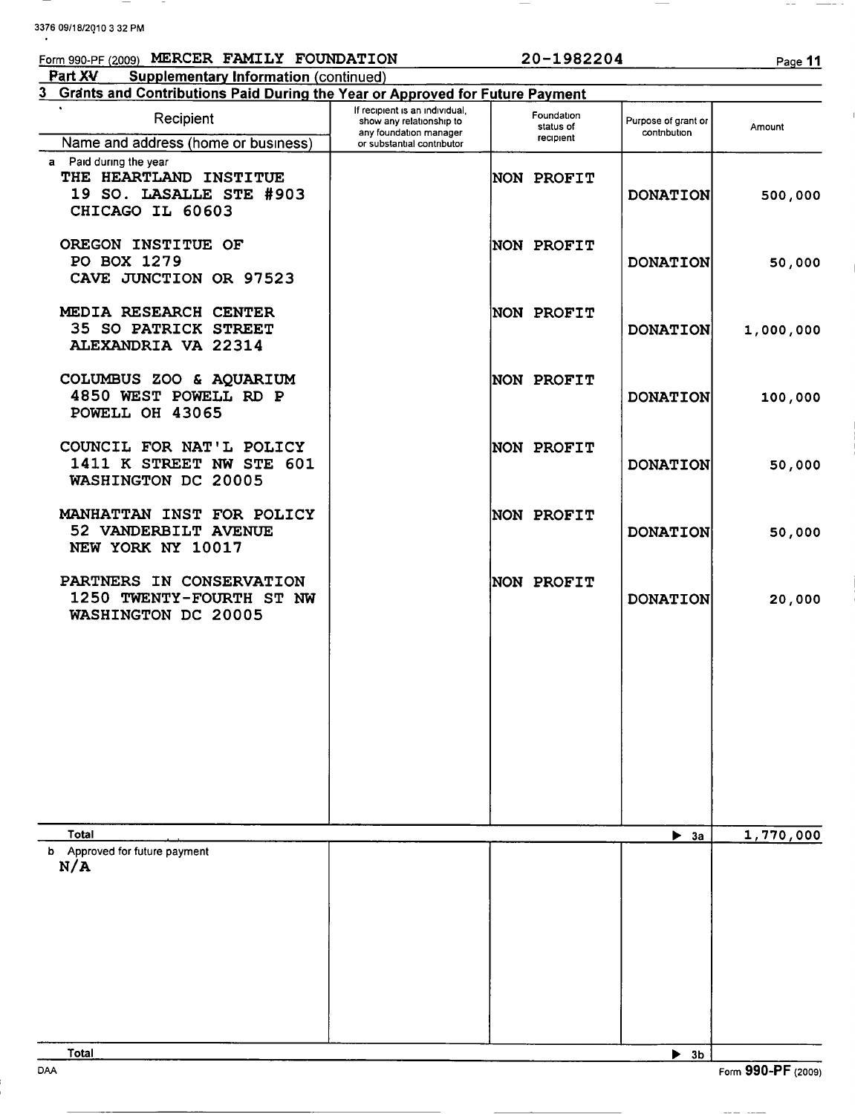3376 09/18/2010 <sup>3</sup> 32 PM Form 990-PF (2009) MERCER FAMILY FOUNDATION 20-1982204 Page 11 **Part XV** Supplementary Information (continued) 3 Grants and Contributions Paid During the Year or Approved for Future Payment **Recipient** If recipient is an individual, show any relationship to Foundation Purpose of grant or any foundation manager<br>or substantial contributor status of **Full pose of grant of the contribution** Amount Name and address (home or business) a Paid during the year THE HEARTLAND INSTITUE  $\qquad$  NON PROFIT 19 SO. LASALLE STE #903 DONATION 500,000 CHICAGO IL 60603 OREGON INSTITUE OF NON PROFIT PO BOX 1279 DONATION 50,000 CAVE JUNCTION OR 97523 MEDIA RESEARCH CENTER NON PROFIT 35 SO PATRICK STREET  $|$  DONATION 1,000,000 ALEXANDRIA VA 22314 COLUMBUS ZOO & AQUARIUM | NON PROFIT 4850 WEST POWELL RD P DONATION 100,000 POWELL OH 43065 COUNCIL FOR NAT'L POLICY | NON PROFIT 1411 K STREET NW STE 601 DONATION 50,000 WASHINGTON DC 20005 MANHATTAN INST FOR POLICY | NON PROFIT 52 VANDERBILT AVENUE DONATION 50,000 NEW YORK NY 10017 PARTNERS IN CONSERVATION | NON PROFIT 1250 TWENTY-FOURTH ST NW DONATION 20,000 WASHINGTON DC 20005

Total ► 3a 1,770,000 b Approved for future payment N/A  $\overline{\text{Total}}$   $\overline{\text{A}}$   $\overline{\text{B}}$   $\overline{\text{B}}$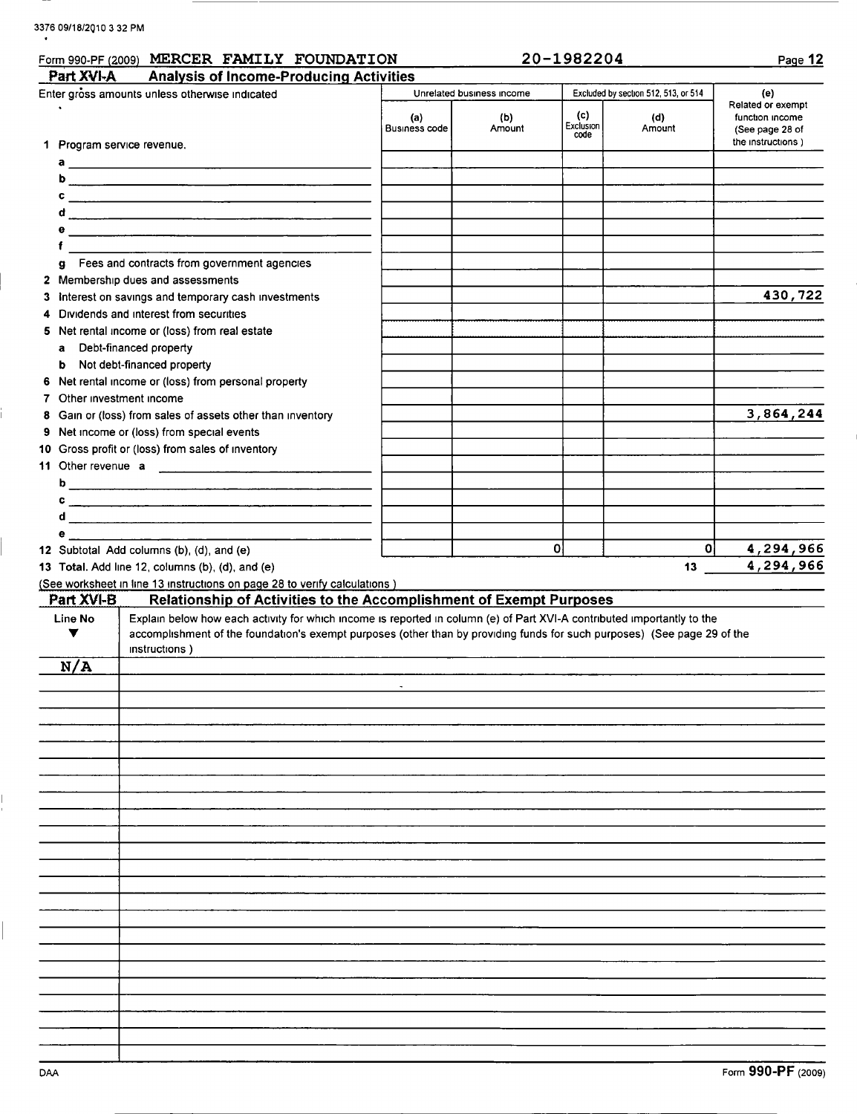## 3376 09/18/2010 3 32 PM

|                            | Form 990-PF (2009) MERCER FAMILY FOUNDATION                                                                                                                                                                                                                          |                             |                           | 20-1982204               |                                      | Page 12                                                                      |
|----------------------------|----------------------------------------------------------------------------------------------------------------------------------------------------------------------------------------------------------------------------------------------------------------------|-----------------------------|---------------------------|--------------------------|--------------------------------------|------------------------------------------------------------------------------|
| Part XVI-A                 | <b>Analysis of Income-Producing Activities</b>                                                                                                                                                                                                                       |                             |                           |                          |                                      |                                                                              |
|                            | Enter gross amounts unless otherwise indicated                                                                                                                                                                                                                       |                             | Unrelated business income |                          | Excluded by section 512, 513, or 514 | (e)                                                                          |
|                            |                                                                                                                                                                                                                                                                      | (a)<br><b>Business code</b> | (b)<br>Amount             | (c)<br>Exclusion<br>code | (d)<br>Amount                        | Related or exempt<br>function income<br>(See page 28 of<br>the instructions) |
| 1 Program service revenue. |                                                                                                                                                                                                                                                                      |                             |                           |                          |                                      |                                                                              |
|                            | a $\overline{\phantom{a}}$                                                                                                                                                                                                                                           |                             |                           |                          |                                      |                                                                              |
|                            |                                                                                                                                                                                                                                                                      |                             |                           |                          |                                      |                                                                              |
|                            |                                                                                                                                                                                                                                                                      |                             |                           |                          |                                      |                                                                              |
|                            |                                                                                                                                                                                                                                                                      |                             |                           |                          |                                      |                                                                              |
|                            |                                                                                                                                                                                                                                                                      |                             |                           |                          |                                      |                                                                              |
| a                          | Fees and contracts from government agencies                                                                                                                                                                                                                          |                             |                           |                          |                                      |                                                                              |
|                            | 2 Membership dues and assessments                                                                                                                                                                                                                                    |                             |                           |                          |                                      |                                                                              |
|                            | 3 Interest on savings and temporary cash investments                                                                                                                                                                                                                 |                             |                           |                          |                                      | 430,722                                                                      |
| 4                          | Dividends and interest from securities                                                                                                                                                                                                                               |                             |                           |                          |                                      |                                                                              |
|                            | 5 Net rental income or (loss) from real estate                                                                                                                                                                                                                       |                             |                           |                          |                                      |                                                                              |
| a                          | Debt-financed property                                                                                                                                                                                                                                               |                             |                           |                          |                                      |                                                                              |
| b                          | Not debt-financed property                                                                                                                                                                                                                                           |                             |                           |                          |                                      |                                                                              |
|                            | 6 Net rental income or (loss) from personal property                                                                                                                                                                                                                 |                             |                           |                          |                                      |                                                                              |
| 7 Other investment income  |                                                                                                                                                                                                                                                                      |                             |                           |                          |                                      |                                                                              |
|                            | 8 Gain or (loss) from sales of assets other than inventory                                                                                                                                                                                                           |                             |                           |                          |                                      | 3,864,244                                                                    |
|                            | 9 Net income or (loss) from special events                                                                                                                                                                                                                           |                             |                           |                          |                                      |                                                                              |
|                            | 10 Gross profit or (loss) from sales of inventory                                                                                                                                                                                                                    |                             |                           |                          |                                      |                                                                              |
|                            |                                                                                                                                                                                                                                                                      |                             |                           |                          |                                      |                                                                              |
|                            |                                                                                                                                                                                                                                                                      |                             |                           |                          |                                      |                                                                              |
|                            |                                                                                                                                                                                                                                                                      |                             |                           |                          |                                      |                                                                              |
|                            |                                                                                                                                                                                                                                                                      |                             |                           |                          |                                      |                                                                              |
| e i s                      |                                                                                                                                                                                                                                                                      |                             |                           |                          |                                      |                                                                              |
|                            | 12 Subtotal Add columns (b), (d), and (e)                                                                                                                                                                                                                            |                             |                           | 0                        | 0                                    | 4,294,966                                                                    |
|                            | 13 Total. Add line 12, columns (b), (d), and (e)                                                                                                                                                                                                                     |                             |                           |                          | 13                                   | 4,294,966                                                                    |
|                            | (See worksheet in line 13 instructions on page 28 to verify calculations)                                                                                                                                                                                            |                             |                           |                          |                                      |                                                                              |
| Part XVI-B                 | Relationship of Activities to the Accomplishment of Exempt Purposes                                                                                                                                                                                                  |                             |                           |                          |                                      |                                                                              |
| Line No<br>▼               | Explain below how each activity for which income is reported in column (e) of Part XVI-A contributed importantly to the<br>accomplishment of the foundation's exempt purposes (other than by providing funds for such purposes) (See page 29 of the<br>instructions) |                             |                           |                          |                                      |                                                                              |
| N/A                        |                                                                                                                                                                                                                                                                      |                             |                           |                          |                                      |                                                                              |
|                            |                                                                                                                                                                                                                                                                      |                             |                           |                          |                                      |                                                                              |
|                            |                                                                                                                                                                                                                                                                      |                             |                           |                          |                                      |                                                                              |
|                            |                                                                                                                                                                                                                                                                      |                             |                           |                          |                                      |                                                                              |
|                            |                                                                                                                                                                                                                                                                      |                             |                           |                          |                                      |                                                                              |
|                            |                                                                                                                                                                                                                                                                      |                             |                           |                          |                                      |                                                                              |
|                            |                                                                                                                                                                                                                                                                      |                             |                           |                          |                                      |                                                                              |
|                            |                                                                                                                                                                                                                                                                      |                             |                           |                          |                                      |                                                                              |
|                            |                                                                                                                                                                                                                                                                      |                             |                           |                          |                                      |                                                                              |
|                            |                                                                                                                                                                                                                                                                      |                             |                           |                          |                                      |                                                                              |
|                            |                                                                                                                                                                                                                                                                      |                             |                           |                          |                                      |                                                                              |
|                            |                                                                                                                                                                                                                                                                      |                             |                           |                          |                                      |                                                                              |
|                            |                                                                                                                                                                                                                                                                      |                             |                           |                          |                                      |                                                                              |
|                            |                                                                                                                                                                                                                                                                      |                             |                           |                          |                                      |                                                                              |
|                            |                                                                                                                                                                                                                                                                      |                             |                           |                          |                                      |                                                                              |
|                            |                                                                                                                                                                                                                                                                      |                             |                           |                          |                                      |                                                                              |
|                            |                                                                                                                                                                                                                                                                      |                             |                           |                          |                                      |                                                                              |
|                            |                                                                                                                                                                                                                                                                      |                             |                           |                          |                                      |                                                                              |
|                            |                                                                                                                                                                                                                                                                      |                             |                           |                          |                                      |                                                                              |
|                            |                                                                                                                                                                                                                                                                      |                             |                           |                          |                                      |                                                                              |
|                            |                                                                                                                                                                                                                                                                      |                             |                           |                          |                                      |                                                                              |
|                            |                                                                                                                                                                                                                                                                      |                             |                           |                          |                                      |                                                                              |
|                            |                                                                                                                                                                                                                                                                      |                             |                           |                          |                                      |                                                                              |
|                            |                                                                                                                                                                                                                                                                      |                             |                           |                          |                                      |                                                                              |

 $\mathbf{I}$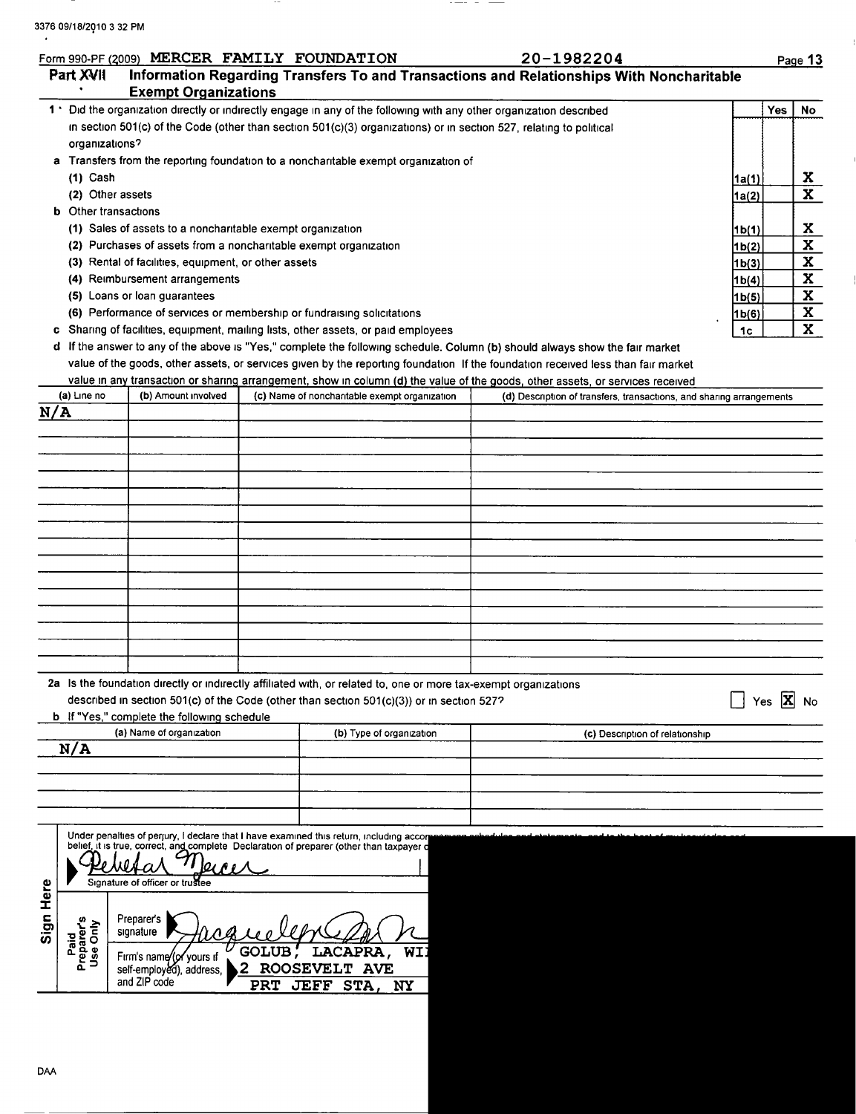$\gamma$ 

|                                                 |                                                                  | <b>Exempt Organizations</b> |                                                                                                                                                                                                               | Information Regarding Transfers To and Transactions and Relationships With Noncharitable                                         |                |                               |                         |
|-------------------------------------------------|------------------------------------------------------------------|-----------------------------|---------------------------------------------------------------------------------------------------------------------------------------------------------------------------------------------------------------|----------------------------------------------------------------------------------------------------------------------------------|----------------|-------------------------------|-------------------------|
|                                                 |                                                                  |                             | 1 ' Did the organization directly or indirectly engage in any of the following with any other organization described                                                                                          |                                                                                                                                  |                | <b>Yes</b>                    | No                      |
|                                                 |                                                                  |                             | in section 501(c) of the Code (other than section 501(c)(3) organizations) or in section 527, relating to political                                                                                           |                                                                                                                                  |                |                               |                         |
| organizations?                                  |                                                                  |                             |                                                                                                                                                                                                               |                                                                                                                                  |                |                               |                         |
|                                                 |                                                                  |                             | a Transfers from the reporting foundation to a noncharitable exempt organization of                                                                                                                           |                                                                                                                                  |                |                               |                         |
| $(1)$ Cash                                      |                                                                  |                             |                                                                                                                                                                                                               |                                                                                                                                  | 1a(1)          |                               | X                       |
| (2) Other assets<br><b>b</b> Other transactions |                                                                  |                             |                                                                                                                                                                                                               |                                                                                                                                  | <u>1a(2)</u>   |                               | $\mathbf{x}$            |
|                                                 | (1) Sales of assets to a noncharitable exempt organization       |                             |                                                                                                                                                                                                               |                                                                                                                                  |                |                               | X.                      |
|                                                 | (2) Purchases of assets from a noncharitable exempt organization |                             |                                                                                                                                                                                                               |                                                                                                                                  | 1b(1)<br>1b(2) |                               | $\overline{\mathbf{x}}$ |
|                                                 | (3) Rental of facilities, equipment, or other assets             |                             |                                                                                                                                                                                                               |                                                                                                                                  | 1b(3)          |                               | $\overline{\mathbf{x}}$ |
|                                                 | (4) Reimbursement arrangements                                   |                             |                                                                                                                                                                                                               |                                                                                                                                  | 1b(4)          |                               | $\overline{\mathbf{x}}$ |
|                                                 | (5) Loans or loan guarantees                                     |                             |                                                                                                                                                                                                               |                                                                                                                                  | 1b(5)          |                               | $\overline{\mathbf{x}}$ |
|                                                 |                                                                  |                             | (6) Performance of services or membership or fundraising solicitations                                                                                                                                        |                                                                                                                                  | 1b(6)          |                               | $\mathbf x$             |
|                                                 |                                                                  |                             | c Sharing of facilities, equipment, mailing lists, other assets, or paid employees                                                                                                                            |                                                                                                                                  | 1c             |                               | $\overline{\mathbf{x}}$ |
|                                                 |                                                                  |                             |                                                                                                                                                                                                               | d If the answer to any of the above is "Yes," complete the following schedule. Column (b) should always show the fair market     |                |                               |                         |
|                                                 |                                                                  |                             |                                                                                                                                                                                                               | value of the goods, other assets, or services given by the reporting foundation If the foundation received less than fair market |                |                               |                         |
|                                                 |                                                                  |                             |                                                                                                                                                                                                               | value in any transaction or sharing arrangement, show in column (d) the value of the goods, other assets, or services received   |                |                               |                         |
| (a) Line no<br>N/A                              | (b) Amount involved                                              |                             | (c) Name of noncharitable exempt organization                                                                                                                                                                 | (d) Description of transfers, transactions, and sharing arrangements                                                             |                |                               |                         |
|                                                 |                                                                  |                             |                                                                                                                                                                                                               |                                                                                                                                  |                |                               |                         |
|                                                 |                                                                  |                             |                                                                                                                                                                                                               |                                                                                                                                  |                |                               |                         |
|                                                 |                                                                  |                             |                                                                                                                                                                                                               |                                                                                                                                  |                |                               |                         |
|                                                 |                                                                  |                             |                                                                                                                                                                                                               |                                                                                                                                  |                |                               |                         |
|                                                 |                                                                  |                             |                                                                                                                                                                                                               |                                                                                                                                  |                |                               |                         |
|                                                 |                                                                  |                             |                                                                                                                                                                                                               |                                                                                                                                  |                |                               |                         |
|                                                 |                                                                  |                             |                                                                                                                                                                                                               |                                                                                                                                  |                |                               |                         |
|                                                 |                                                                  |                             |                                                                                                                                                                                                               |                                                                                                                                  |                |                               |                         |
|                                                 |                                                                  |                             |                                                                                                                                                                                                               |                                                                                                                                  |                |                               |                         |
|                                                 |                                                                  |                             |                                                                                                                                                                                                               |                                                                                                                                  |                |                               |                         |
|                                                 |                                                                  |                             |                                                                                                                                                                                                               |                                                                                                                                  |                |                               |                         |
|                                                 |                                                                  |                             |                                                                                                                                                                                                               |                                                                                                                                  |                |                               |                         |
|                                                 |                                                                  |                             |                                                                                                                                                                                                               |                                                                                                                                  |                |                               |                         |
|                                                 |                                                                  |                             |                                                                                                                                                                                                               |                                                                                                                                  |                |                               |                         |
|                                                 |                                                                  |                             | 2a Is the foundation directly or indirectly affiliated with, or related to, one or more tax-exempt organizations<br>described in section 501(c) of the Code (other than section 501(c)(3)) or in section 527? |                                                                                                                                  |                | Yes $ \overline{\mathbf{X}} $ | No                      |
|                                                 | <b>b</b> If "Yes," complete the following schedule               |                             |                                                                                                                                                                                                               |                                                                                                                                  |                |                               |                         |
|                                                 | (a) Name of organization                                         |                             | (b) Type of organization                                                                                                                                                                                      | (c) Description of relationship                                                                                                  |                |                               |                         |
| N/A                                             |                                                                  |                             |                                                                                                                                                                                                               |                                                                                                                                  |                |                               |                         |
|                                                 |                                                                  |                             |                                                                                                                                                                                                               |                                                                                                                                  |                |                               |                         |
|                                                 |                                                                  |                             |                                                                                                                                                                                                               |                                                                                                                                  |                |                               |                         |
|                                                 |                                                                  |                             |                                                                                                                                                                                                               |                                                                                                                                  |                |                               |                         |
|                                                 |                                                                  |                             |                                                                                                                                                                                                               |                                                                                                                                  |                |                               |                         |
|                                                 |                                                                  |                             | Under penalties of perjury, I declare that I have examined this return, including accorpooning<br>belief, it is true, correct, and complete Declaration of preparer (other than taxpayer d                    |                                                                                                                                  |                |                               |                         |
|                                                 |                                                                  |                             |                                                                                                                                                                                                               |                                                                                                                                  |                |                               |                         |
|                                                 | Signature of officer or trustee                                  |                             |                                                                                                                                                                                                               |                                                                                                                                  |                |                               |                         |
| Sign Here                                       |                                                                  |                             |                                                                                                                                                                                                               |                                                                                                                                  |                |                               |                         |
| aid<br>parer's<br>a Only                        | Preparer's                                                       |                             |                                                                                                                                                                                                               |                                                                                                                                  |                |                               |                         |

 $\frac{1}{2} \left( \frac{1}{2} \frac{1}{2} \right) \left( \frac{1}{2} \frac{1}{2} \right) \left( \frac{1}{2} \frac{1}{2} \right) \left( \frac{1}{2} \frac{1}{2} \right) \left( \frac{1}{2} \frac{1}{2} \right) \left( \frac{1}{2} \frac{1}{2} \right) \left( \frac{1}{2} \frac{1}{2} \right) \left( \frac{1}{2} \frac{1}{2} \right) \left( \frac{1}{2} \frac{1}{2} \right) \left( \frac{1}{2} \frac{1}{2} \right) \left( \frac{1}{2} \frac{$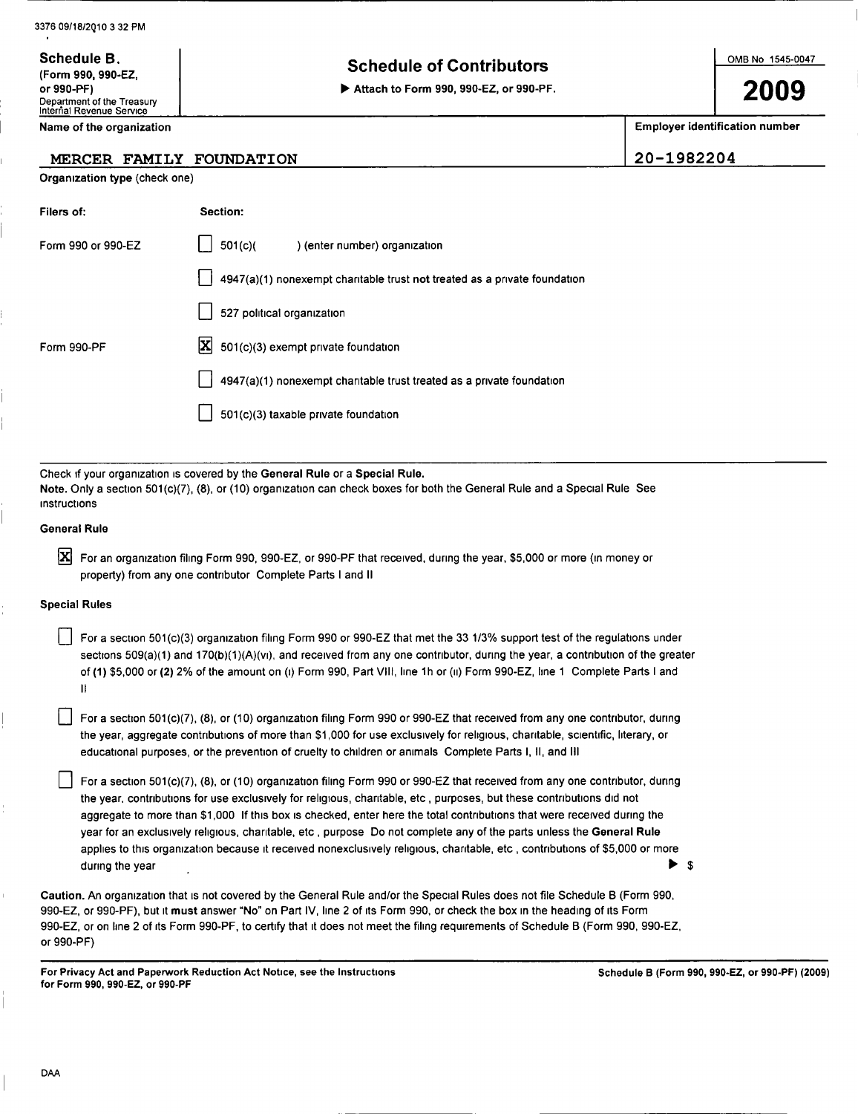3376 09/18/2Q10 <sup>3</sup> 32 PM

Department of the Treasury<br>
Internal Revenue Service Name of the organization

Organization type (check one)

Schedule B.

## Schedule B.<br>(Form 990, 990-EZ,  $\vert$  contributors

or 990-PF) ► Attach to Form 990, 990-EZ, or 990-PF.

2009

Employer identification number

MERCER FAMILY FOUNDATION 20-1982204

| Filers of:           | Section:                                                                                                                                                                                                                                                                                                                                                                                                                                                                                                                                                                                                                                      |
|----------------------|-----------------------------------------------------------------------------------------------------------------------------------------------------------------------------------------------------------------------------------------------------------------------------------------------------------------------------------------------------------------------------------------------------------------------------------------------------------------------------------------------------------------------------------------------------------------------------------------------------------------------------------------------|
| Form 990 or 990-EZ   | 501(c)<br>) (enter number) organization                                                                                                                                                                                                                                                                                                                                                                                                                                                                                                                                                                                                       |
|                      | 4947(a)(1) nonexempt charitable trust not treated as a private foundation                                                                                                                                                                                                                                                                                                                                                                                                                                                                                                                                                                     |
|                      | 527 political organization                                                                                                                                                                                                                                                                                                                                                                                                                                                                                                                                                                                                                    |
| Form 990-PF          | IХ<br>501(c)(3) exempt private foundation                                                                                                                                                                                                                                                                                                                                                                                                                                                                                                                                                                                                     |
|                      | 4947(a)(1) nonexempt charitable trust treated as a private foundation                                                                                                                                                                                                                                                                                                                                                                                                                                                                                                                                                                         |
|                      | 501(c)(3) taxable private foundation                                                                                                                                                                                                                                                                                                                                                                                                                                                                                                                                                                                                          |
|                      |                                                                                                                                                                                                                                                                                                                                                                                                                                                                                                                                                                                                                                               |
| instructions         | Check if your organization is covered by the General Rule or a Special Rule.<br>Note. Only a section 501(c)(7), (8), or (10) organization can check boxes for both the General Rule and a Special Rule See                                                                                                                                                                                                                                                                                                                                                                                                                                    |
| General Rule         |                                                                                                                                                                                                                                                                                                                                                                                                                                                                                                                                                                                                                                               |
| ΙX                   | For an organization filing Form 990, 990-EZ, or 990-PF that received, during the year, \$5,000 or more (in money or<br>property) from any one contributor Complete Parts I and II                                                                                                                                                                                                                                                                                                                                                                                                                                                             |
| <b>Special Rules</b> |                                                                                                                                                                                                                                                                                                                                                                                                                                                                                                                                                                                                                                               |
| Ħ                    | For a section 501(c)(3) organization filing Form 990 or 990-EZ that met the 33 1/3% support test of the regulations under<br>sections $509(a)(1)$ and $170(b)(1)(A)(v)$ , and received from any one contributor, during the year, a contribution of the greater<br>of (1) \$5,000 or (2) 2% of the amount on (i) Form 990, Part Vill, line 1h or (ii) Form 990-EZ, line 1 Complete Parts I and                                                                                                                                                                                                                                                |
|                      | For a section 501(c)(7), (8), or (10) organization filing Form 990 or 990-EZ that received from any one contributor, during<br>the year, aggregate contributions of more than \$1,000 for use exclusively for religious, charitable, scientific, literary, or<br>educational purposes, or the prevention of cruelty to children or animals. Complete Parts I, II, and III                                                                                                                                                                                                                                                                     |
| during the year      | For a section 501(c)(7), (8), or (10) organization filing Form 990 or 990-EZ that received from any one contributor, during<br>the year, contributions for use exclusively for religious, charitable, etc, purposes, but these contributions did not<br>aggregate to more than \$1,000 If this box is checked, enter here the total contributions that were received during the<br>year for an exclusively religious, charitable, etc, purpose Do not complete any of the parts unless the General Rule<br>applies to this organization because it received nonexclusively religious, charitable, etc, contributions of \$5,000 or more<br>\$ |
|                      | Caution. An organization that is not covered by the General Rule and/or the Special Rules does not file Schedule B (Form 990,                                                                                                                                                                                                                                                                                                                                                                                                                                                                                                                 |

990-EZ, or 990-PF), but it must answer "No" on Part IV, line 2 of its Form 990, or check the box in the heading of its Form 990-EZ, or on line 2 of its Form 990-PF, to certify that it does not meet the filing requirements of Schedule B (Form 990, 990-EZ, or 990-PF)

For Privacy Act and Paperwork Reduction Act Notice, see the Instructions for Form 990, 990-EZ, or 990-PF

Schedule B (Form 990, 990-EZ, or 990-PF) (2009)

DAA

 $\frac{1}{1}$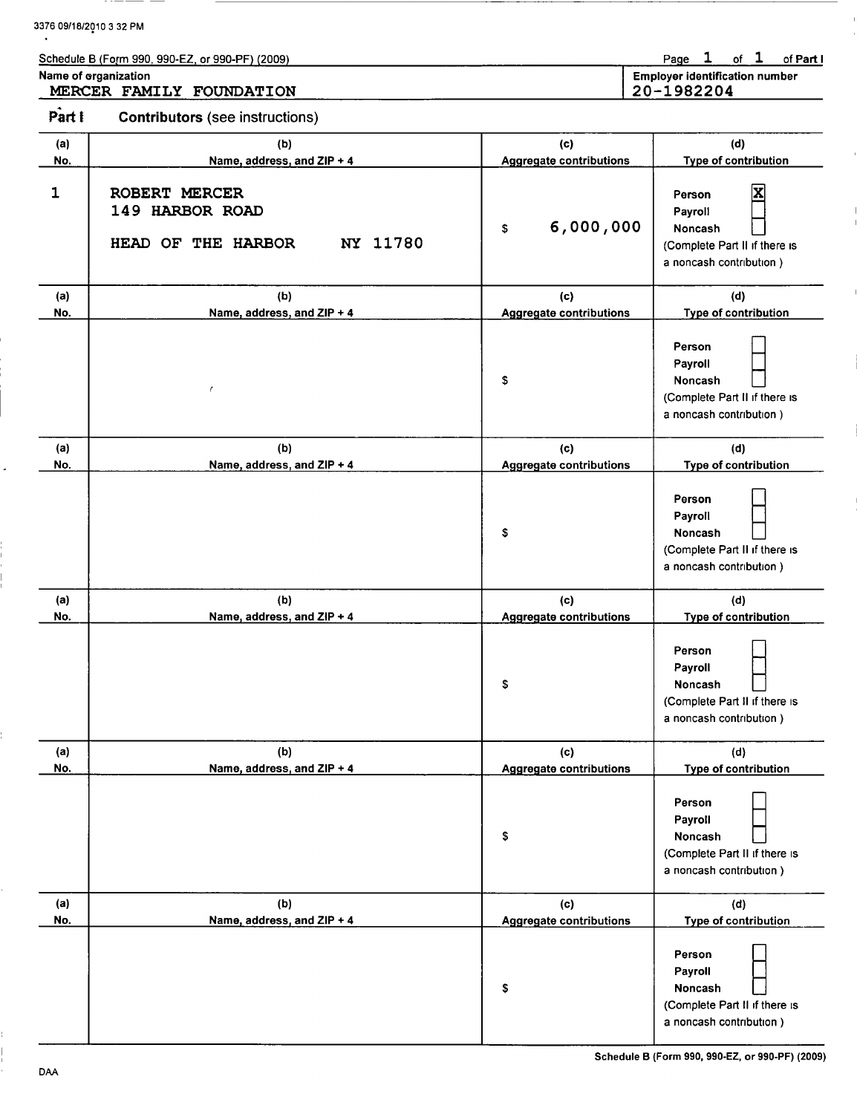|            | Schedule B (Form 990, 990-EZ, or 990-PF) (2009)                    |                                       | of $1$<br>Page 1<br>of Part I                                                                   |
|------------|--------------------------------------------------------------------|---------------------------------------|-------------------------------------------------------------------------------------------------|
|            | Name of organization<br>MERCER FAMILY FOUNDATION                   |                                       | <b>Employer identification number</b><br>20-1982204                                             |
| Part I     | <b>Contributors</b> (see instructions)                             |                                       |                                                                                                 |
| (a)<br>No. | (b)<br>Name, address, and ZIP + 4                                  | (c)<br><b>Aggregate contributions</b> | (d)<br>Type of contribution                                                                     |
| 1          | ROBERT MERCER<br>149 HARBOR ROAD<br>NY 11780<br>HEAD OF THE HARBOR | 6,000,000<br>\$                       | Person<br>Payroll<br>Noncash<br>(Complete Part II if there is<br>a noncash contribution)        |
| (a)<br>No. | (b)<br>Name, address, and ZIP + 4                                  | (c)<br><b>Aggregate contributions</b> | (d)<br>Type of contribution                                                                     |
|            | f                                                                  | \$                                    | Person<br>Payroll<br>Noncash<br>(Complete Part II if there is<br>a noncash contribution)        |
| (a)<br>No. | (b)<br>Name, address, and ZIP + 4                                  | (c)<br><b>Aggregate contributions</b> | (d)<br>Type of contribution                                                                     |
|            |                                                                    | \$                                    | Person<br>Payroll<br>Noncash<br>(Complete Part II if there is<br>a noncash contribution)        |
| (a)<br>No. | (b)<br>Name, address, and ZIP + 4                                  | (c)<br><b>Aggregate contributions</b> | (d)<br>Type of contribution                                                                     |
|            |                                                                    | \$                                    | Person<br>Payroll<br>Noncash<br>(Complete Part II if there is<br>a noncash contribution)        |
| (a)<br>No. | (b)<br>Name, address, and ZIP + 4                                  | (c)<br><b>Aggregate contributions</b> | (d)<br>Type of contribution                                                                     |
|            |                                                                    | \$                                    | Person<br>Payroll<br><b>Noncash</b><br>(Complete Part II if there is<br>a noncash contribution) |
| (a)<br>No. | (b)<br>Name, address, and ZIP + 4                                  | (c)<br><b>Aggregate contributions</b> | (d)<br>Type of contribution                                                                     |
|            |                                                                    | \$                                    | Person<br>Payroll<br>Noncash<br>(Complete Part II if there is                                   |

a noncash contribution )

3376 09/18/2010 <sup>3</sup> 32 PM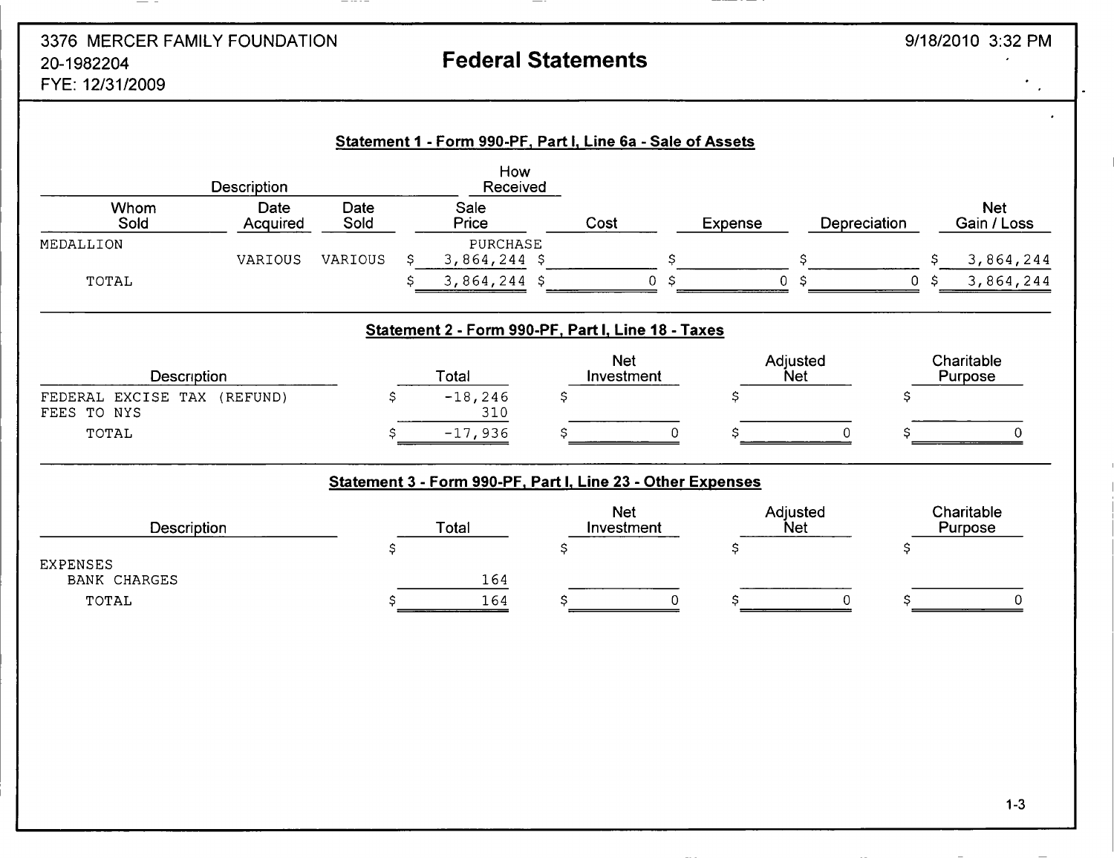# 3376 MERCER FAMILY FOUNDATION 9/18/2010 3:32 PM 20-1982204 Federal Statements

 $- - - - -$ 

 $-$ 

 $\frac{1}{\sqrt{2}}$ 

FYE: 12/31/2009

|                                            | Description      |              | How<br>Received                                             |      |                          |         |                        |    |                           |
|--------------------------------------------|------------------|--------------|-------------------------------------------------------------|------|--------------------------|---------|------------------------|----|---------------------------|
| Whom<br>Sold                               | Date<br>Acquired | Date<br>Sold | Sale<br>Price                                               | Cost |                          | Expense | Depreciation           |    | <b>Net</b><br>Gain / Loss |
| MEDALLION                                  | VARIOUS          | VARIOUS      | <b>PURCHASE</b><br>$3,864,244$ \$                           |      | \$                       |         | \$                     |    | 3,864,244<br>S            |
| TOTAL                                      |                  |              | $3,864,244$ \$                                              |      | $\Omega$<br>S            |         | 0<br>S                 | 0  | 3,864,244<br>\$           |
|                                            |                  |              | Statement 2 - Form 990-PF, Part I, Line 18 - Taxes          |      |                          |         |                        |    |                           |
| Description                                |                  |              | Total                                                       |      | <b>Net</b><br>Investment |         | Adjusted<br><b>Net</b> |    | Charitable<br>Purpose     |
| FEDERAL EXCISE TAX (REFUND)<br>FEES TO NYS |                  | \$           | $-18, 246$<br>310                                           | \$   |                          | \$      |                        | S  |                           |
| TOTAL                                      |                  | \$           | $-17,936$                                                   |      |                          |         | $\Omega$               |    | $\cap$                    |
|                                            |                  |              | Statement 3 - Form 990-PF, Part I, Line 23 - Other Expenses |      |                          |         |                        |    |                           |
| <b>Description</b>                         |                  |              | Total                                                       |      | <b>Net</b><br>Investment |         | Adjusted<br><b>Net</b> |    | Charitable<br>Purpose     |
| <b>EXPENSES</b>                            |                  | \$           |                                                             | \$   |                          | Ş       |                        | \$ |                           |
| <b>BANK CHARGES</b>                        |                  |              | 164                                                         |      |                          |         |                        |    |                           |
| TOTAL                                      |                  | Ŝ            | 164                                                         | S    |                          |         | $\overline{0}$         |    | 0                         |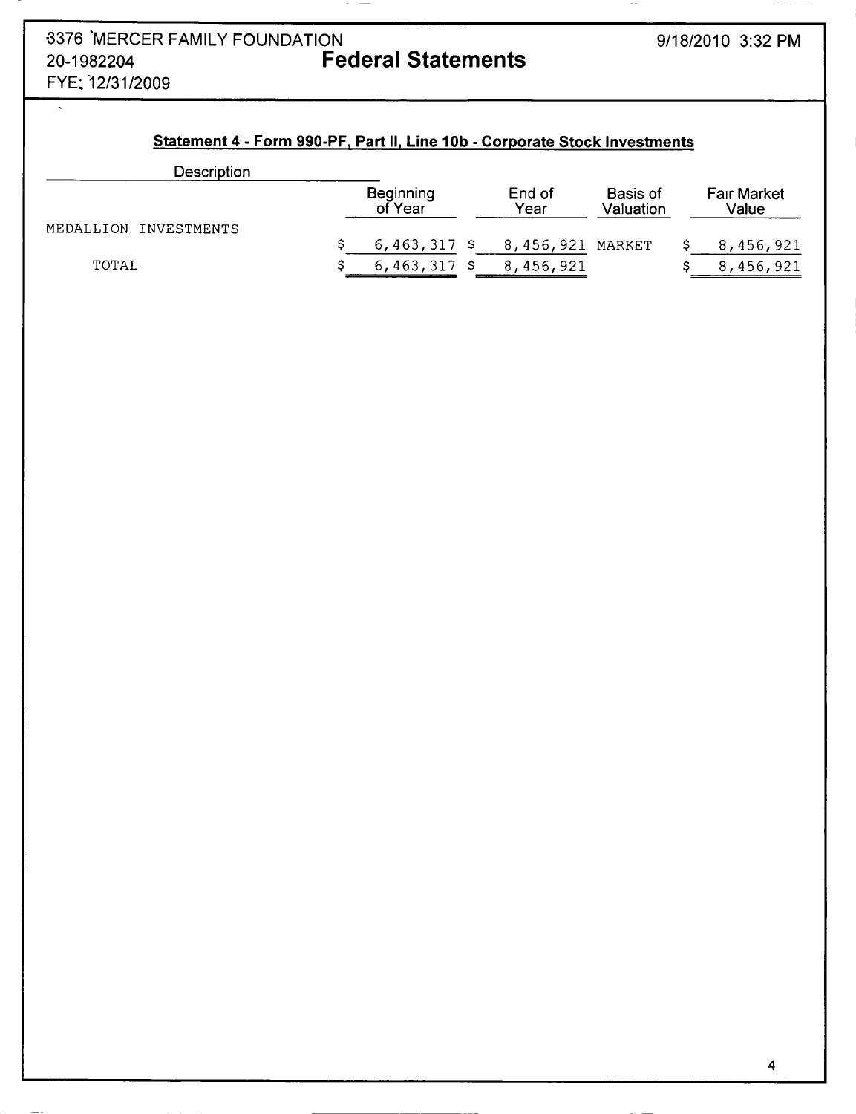$\overline{\cdot}$ 

 $-\cdots$   $-$ 

 $\sim$   $-$ 

## Statement 4 - Form 990-PF, Part II, Line 10b - Corporate Stock Investments

 $\sim$   $-$ 

| Description           |                             |                  |                       |                      |
|-----------------------|-----------------------------|------------------|-----------------------|----------------------|
|                       | <b>Beginning</b><br>of Year | End of<br>Year   | Basis of<br>Valuation | Fair Market<br>Value |
| MEDALLION INVESTMENTS |                             |                  |                       |                      |
|                       | $6,463,317$ \$              | 8,456,921 MARKET |                       | 8,456,921            |
| TOTAL                 | $6,463,317$ \$              | 8,456,921        |                       | 8,456,921            |